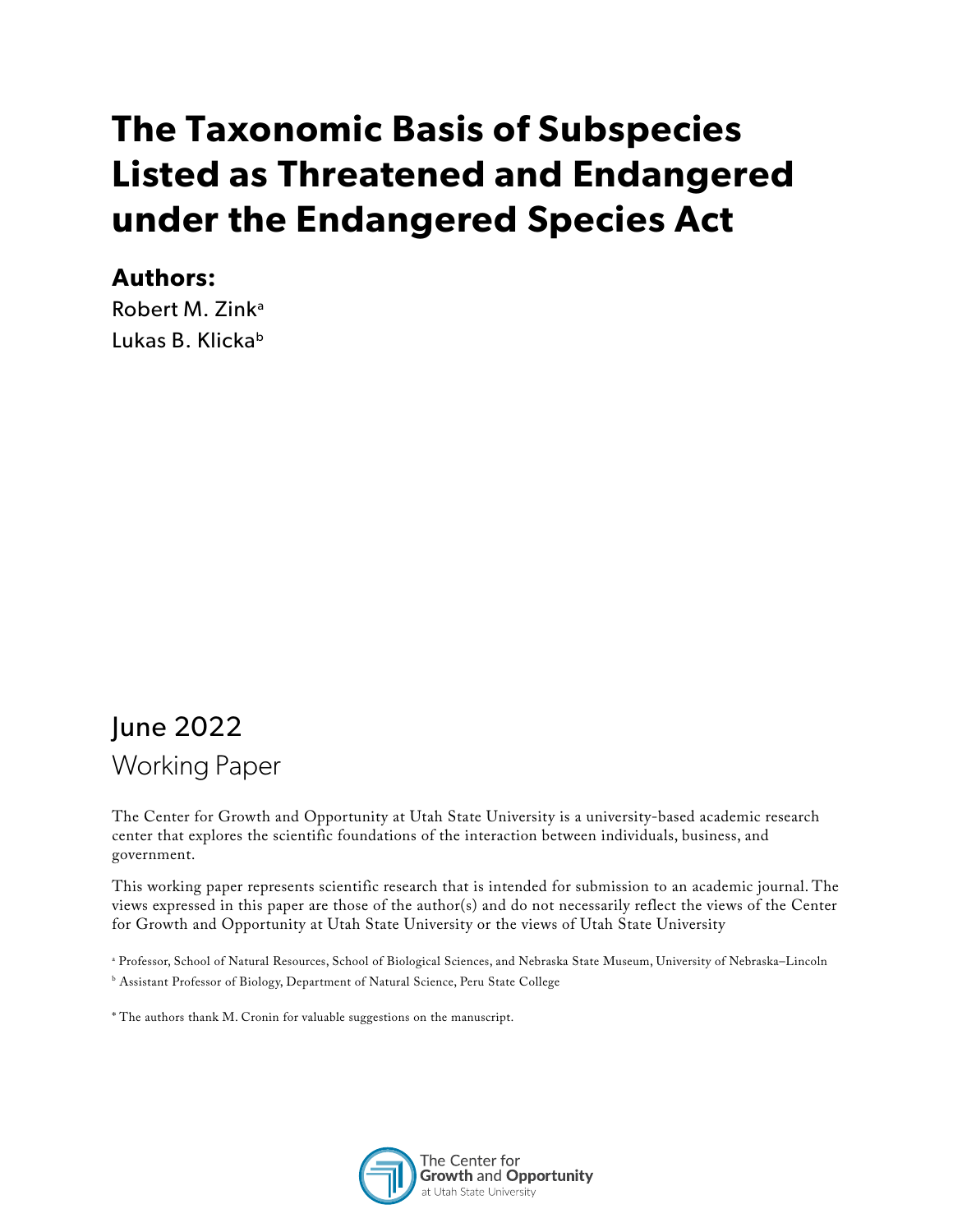# **The Taxonomic Basis of Subspecies Listed as Threatened and Endangered under the Endangered Species Act**

#### **Authors:**

Robert M. Zinka Lukas B. Klickab

## June 2022 Working Paper

The Center for Growth and Opportunity at Utah State University is a university-based academic research center that explores the scientific foundations of the interaction between individuals, business, and government.

This working paper represents scientific research that is intended for submission to an academic journal. The views expressed in this paper are those of the author(s) and do not necessarily reflect the views of the Center for Growth and Opportunity at Utah State University or the views of Utah State University

- a Professor, School of Natural Resources, School of Biological Sciences, and Nebraska State Museum, University of Nebraska–Lincoln
- b Assistant Professor of Biology, Department of Natural Science, Peru State College
- \* The authors thank M. Cronin for valuable suggestions on the manuscript.

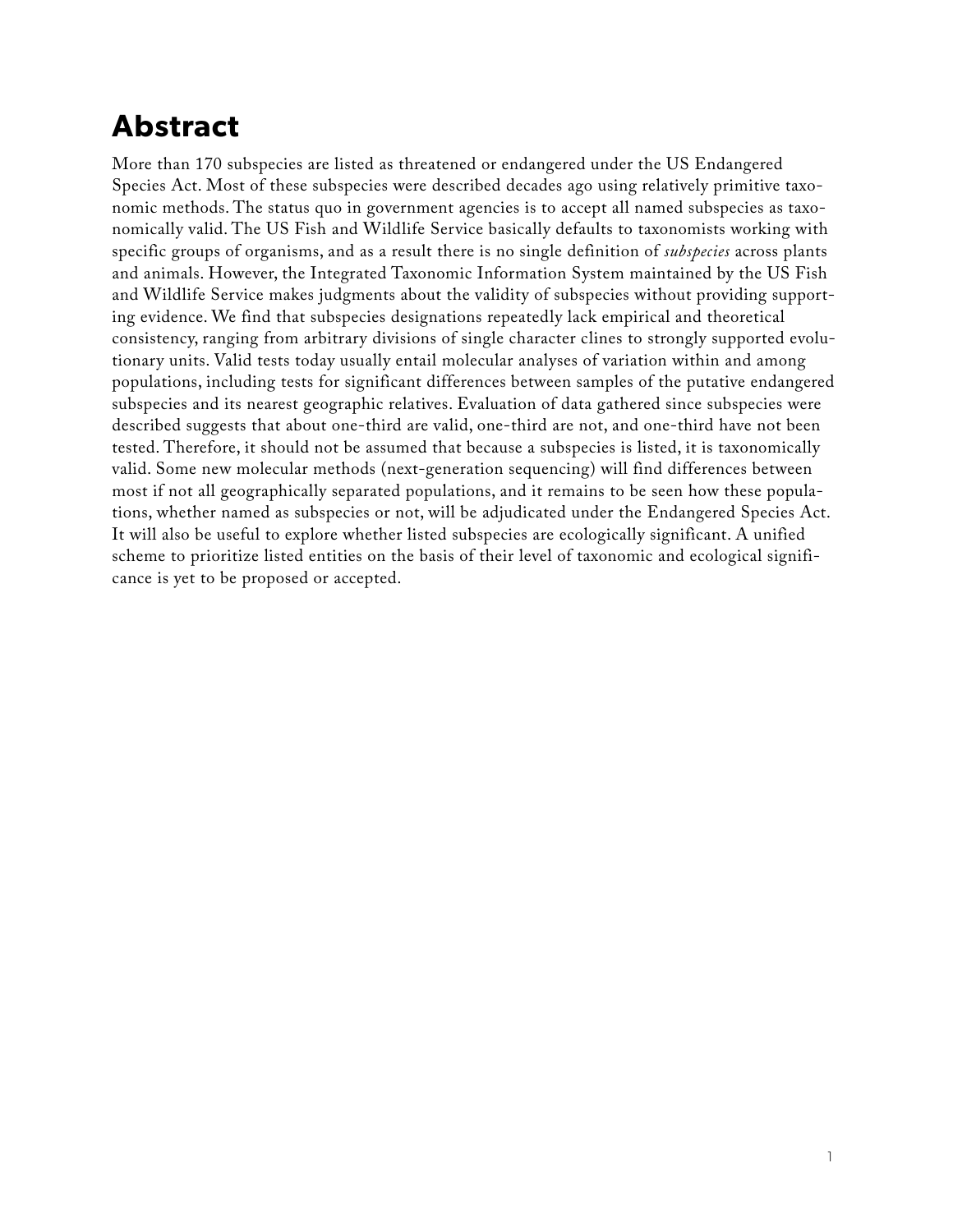### **Abstract**

More than 170 subspecies are listed as threatened or endangered under the US Endangered Species Act. Most of these subspecies were described decades ago using relatively primitive taxonomic methods. The status quo in government agencies is to accept all named subspecies as taxonomically valid. The US Fish and Wildlife Service basically defaults to taxonomists working with specific groups of organisms, and as a result there is no single definition of *subspecies* across plants and animals. However, the Integrated Taxonomic Information System maintained by the US Fish and Wildlife Service makes judgments about the validity of subspecies without providing supporting evidence. We find that subspecies designations repeatedly lack empirical and theoretical consistency, ranging from arbitrary divisions of single character clines to strongly supported evolutionary units. Valid tests today usually entail molecular analyses of variation within and among populations, including tests for significant differences between samples of the putative endangered subspecies and its nearest geographic relatives. Evaluation of data gathered since subspecies were described suggests that about one-third are valid, one-third are not, and one-third have not been tested. Therefore, it should not be assumed that because a subspecies is listed, it is taxonomically valid. Some new molecular methods (next-generation sequencing) will find differences between most if not all geographically separated populations, and it remains to be seen how these populations, whether named as subspecies or not, will be adjudicated under the Endangered Species Act. It will also be useful to explore whether listed subspecies are ecologically significant. A unified scheme to prioritize listed entities on the basis of their level of taxonomic and ecological significance is yet to be proposed or accepted.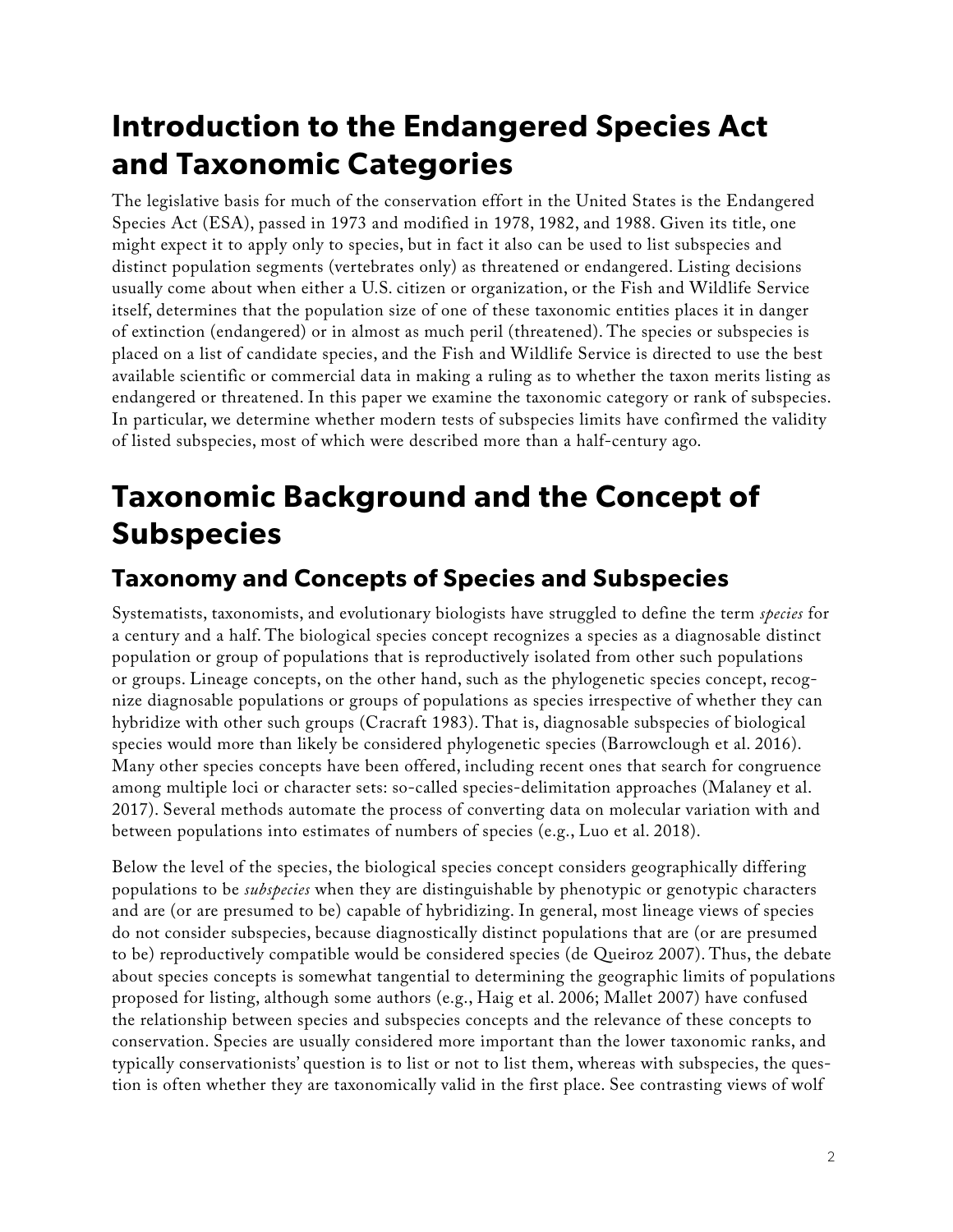## **Introduction to the Endangered Species Act and Taxonomic Categories**

The legislative basis for much of the conservation effort in the United States is the Endangered Species Act (ESA), passed in 1973 and modified in 1978, 1982, and 1988. Given its title, one might expect it to apply only to species, but in fact it also can be used to list subspecies and distinct population segments (vertebrates only) as threatened or endangered. Listing decisions usually come about when either a U.S. citizen or organization, or the Fish and Wildlife Service itself, determines that the population size of one of these taxonomic entities places it in danger of extinction (endangered) or in almost as much peril (threatened). The species or subspecies is placed on a list of candidate species, and the Fish and Wildlife Service is directed to use the best available scientific or commercial data in making a ruling as to whether the taxon merits listing as endangered or threatened. In this paper we examine the taxonomic category or rank of subspecies. In particular, we determine whether modern tests of subspecies limits have confirmed the validity of listed subspecies, most of which were described more than a half-century ago.

# **Taxonomic Background and the Concept of Subspecies**

#### **Taxonomy and Concepts of Species and Subspecies**

Systematists, taxonomists, and evolutionary biologists have struggled to define the term *species* for a century and a half. The biological species concept recognizes a species as a diagnosable distinct population or group of populations that is reproductively isolated from other such populations or groups. Lineage concepts, on the other hand, such as the phylogenetic species concept, recognize diagnosable populations or groups of populations as species irrespective of whether they can hybridize with other such groups (Cracraft 1983). That is, diagnosable subspecies of biological species would more than likely be considered phylogenetic species (Barrowclough et al. 2016). Many other species concepts have been offered, including recent ones that search for congruence among multiple loci or character sets: so-called species-delimitation approaches (Malaney et al. 2017). Several methods automate the process of converting data on molecular variation with and between populations into estimates of numbers of species (e.g., Luo et al. 2018).

Below the level of the species, the biological species concept considers geographically differing populations to be *subspecies* when they are distinguishable by phenotypic or genotypic characters and are (or are presumed to be) capable of hybridizing. In general, most lineage views of species do not consider subspecies, because diagnostically distinct populations that are (or are presumed to be) reproductively compatible would be considered species (de Queiroz 2007). Thus, the debate about species concepts is somewhat tangential to determining the geographic limits of populations proposed for listing, although some authors (e.g., Haig et al. 2006; Mallet 2007) have confused the relationship between species and subspecies concepts and the relevance of these concepts to conservation. Species are usually considered more important than the lower taxonomic ranks, and typically conservationists' question is to list or not to list them, whereas with subspecies, the question is often whether they are taxonomically valid in the first place. See contrasting views of wolf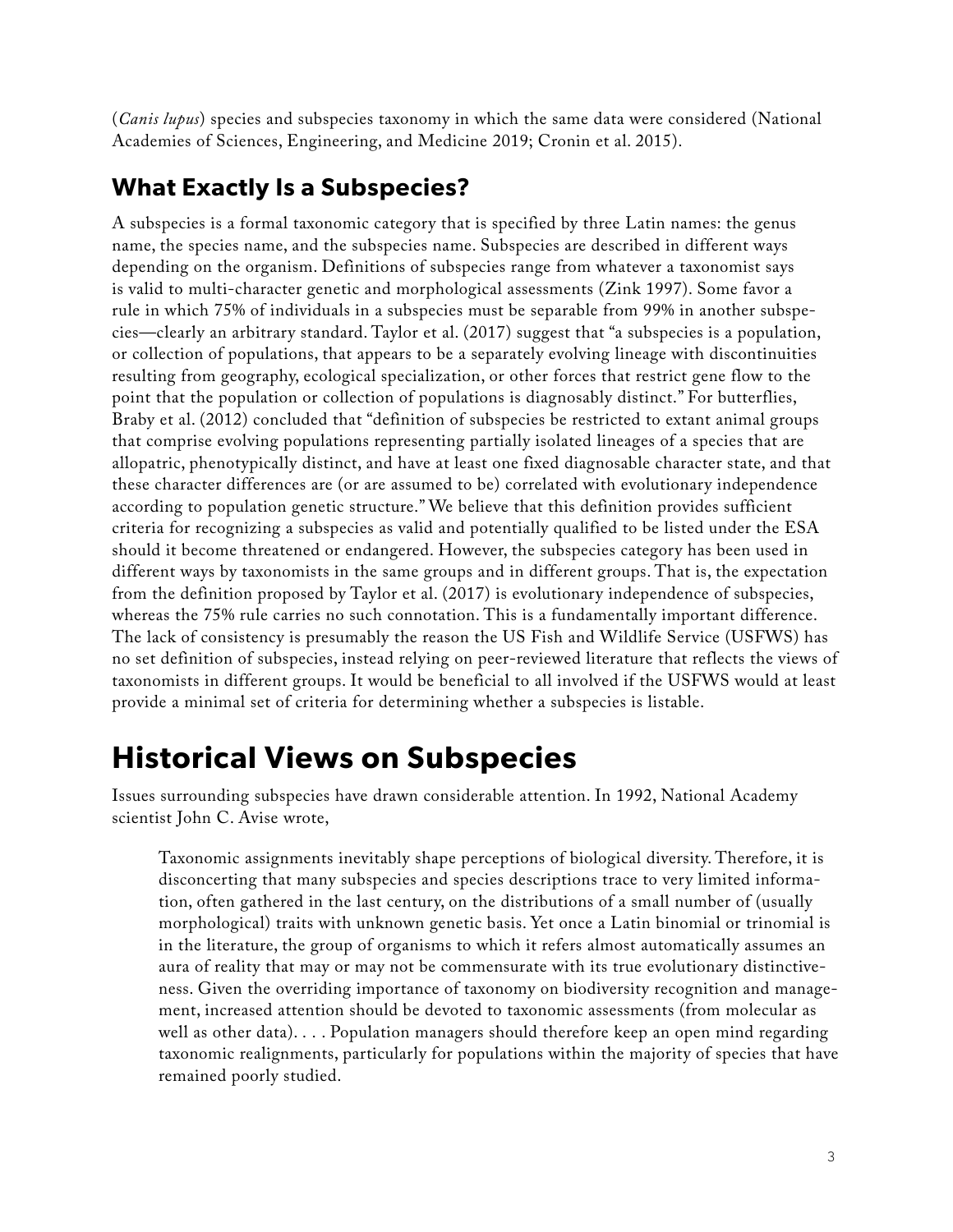(*Canis lupus*) species and subspecies taxonomy in which the same data were considered (National Academies of Sciences, Engineering, and Medicine 2019; Cronin et al. 2015).

#### **What Exactly Is a Subspecies?**

A subspecies is a formal taxonomic category that is specified by three Latin names: the genus name, the species name, and the subspecies name. Subspecies are described in different ways depending on the organism. Definitions of subspecies range from whatever a taxonomist says is valid to multi-character genetic and morphological assessments (Zink 1997). Some favor a rule in which 75% of individuals in a subspecies must be separable from 99% in another subspecies—clearly an arbitrary standard. Taylor et al. (2017) suggest that "a subspecies is a population, or collection of populations, that appears to be a separately evolving lineage with discontinuities resulting from geography, ecological specialization, or other forces that restrict gene flow to the point that the population or collection of populations is diagnosably distinct." For butterflies, Braby et al. (2012) concluded that "definition of subspecies be restricted to extant animal groups that comprise evolving populations representing partially isolated lineages of a species that are allopatric, phenotypically distinct, and have at least one fixed diagnosable character state, and that these character differences are (or are assumed to be) correlated with evolutionary independence according to population genetic structure." We believe that this definition provides sufficient criteria for recognizing a subspecies as valid and potentially qualified to be listed under the ESA should it become threatened or endangered. However, the subspecies category has been used in different ways by taxonomists in the same groups and in different groups. That is, the expectation from the definition proposed by Taylor et al. (2017) is evolutionary independence of subspecies, whereas the 75% rule carries no such connotation. This is a fundamentally important difference. The lack of consistency is presumably the reason the US Fish and Wildlife Service (USFWS) has no set definition of subspecies, instead relying on peer-reviewed literature that reflects the views of taxonomists in different groups. It would be beneficial to all involved if the USFWS would at least provide a minimal set of criteria for determining whether a subspecies is listable.

### **Historical Views on Subspecies**

Issues surrounding subspecies have drawn considerable attention. In 1992, National Academy scientist John C. Avise wrote,

Taxonomic assignments inevitably shape perceptions of biological diversity. Therefore, it is disconcerting that many subspecies and species descriptions trace to very limited information, often gathered in the last century, on the distributions of a small number of (usually morphological) traits with unknown genetic basis. Yet once a Latin binomial or trinomial is in the literature, the group of organisms to which it refers almost automatically assumes an aura of reality that may or may not be commensurate with its true evolutionary distinctiveness. Given the overriding importance of taxonomy on biodiversity recognition and management, increased attention should be devoted to taxonomic assessments (from molecular as well as other data). . . . Population managers should therefore keep an open mind regarding taxonomic realignments, particularly for populations within the majority of species that have remained poorly studied.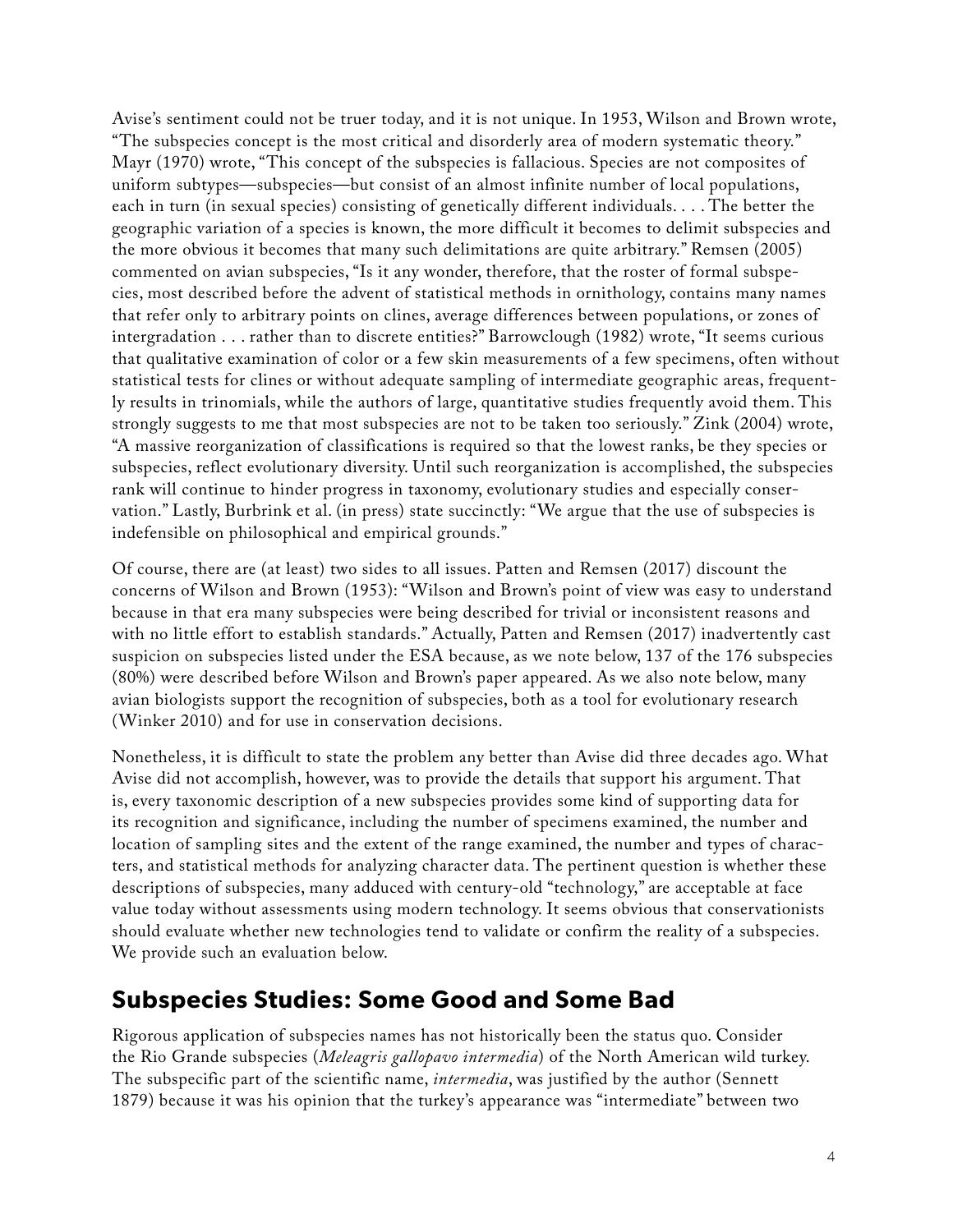Avise's sentiment could not be truer today, and it is not unique. In 1953, Wilson and Brown wrote, "The subspecies concept is the most critical and disorderly area of modern systematic theory." Mayr (1970) wrote, "This concept of the subspecies is fallacious. Species are not composites of uniform subtypes—subspecies—but consist of an almost infinite number of local populations, each in turn (in sexual species) consisting of genetically different individuals. . . . The better the geographic variation of a species is known, the more difficult it becomes to delimit subspecies and the more obvious it becomes that many such delimitations are quite arbitrary." Remsen (2005) commented on avian subspecies, "Is it any wonder, therefore, that the roster of formal subspecies, most described before the advent of statistical methods in ornithology, contains many names that refer only to arbitrary points on clines, average differences between populations, or zones of intergradation . . . rather than to discrete entities?" Barrowclough (1982) wrote, "It seems curious that qualitative examination of color or a few skin measurements of a few specimens, often without statistical tests for clines or without adequate sampling of intermediate geographic areas, frequently results in trinomials, while the authors of large, quantitative studies frequently avoid them. This strongly suggests to me that most subspecies are not to be taken too seriously." Zink (2004) wrote, "A massive reorganization of classifications is required so that the lowest ranks, be they species or subspecies, reflect evolutionary diversity. Until such reorganization is accomplished, the subspecies rank will continue to hinder progress in taxonomy, evolutionary studies and especially conservation." Lastly, Burbrink et al. (in press) state succinctly: "We argue that the use of subspecies is indefensible on philosophical and empirical grounds."

Of course, there are (at least) two sides to all issues. Patten and Remsen (2017) discount the concerns of Wilson and Brown (1953): "Wilson and Brown's point of view was easy to understand because in that era many subspecies were being described for trivial or inconsistent reasons and with no little effort to establish standards." Actually, Patten and Remsen (2017) inadvertently cast suspicion on subspecies listed under the ESA because, as we note below, 137 of the 176 subspecies (80%) were described before Wilson and Brown's paper appeared. As we also note below, many avian biologists support the recognition of subspecies, both as a tool for evolutionary research (Winker 2010) and for use in conservation decisions.

Nonetheless, it is difficult to state the problem any better than Avise did three decades ago. What Avise did not accomplish, however, was to provide the details that support his argument. That is, every taxonomic description of a new subspecies provides some kind of supporting data for its recognition and significance, including the number of specimens examined, the number and location of sampling sites and the extent of the range examined, the number and types of characters, and statistical methods for analyzing character data. The pertinent question is whether these descriptions of subspecies, many adduced with century-old "technology," are acceptable at face value today without assessments using modern technology. It seems obvious that conservationists should evaluate whether new technologies tend to validate or confirm the reality of a subspecies. We provide such an evaluation below.

#### **Subspecies Studies: Some Good and Some Bad**

Rigorous application of subspecies names has not historically been the status quo. Consider the Rio Grande subspecies (*Meleagris gallopavo intermedia*) of the North American wild turkey. The subspecific part of the scientific name, *intermedia*, was justified by the author (Sennett 1879) because it was his opinion that the turkey's appearance was "intermediate" between two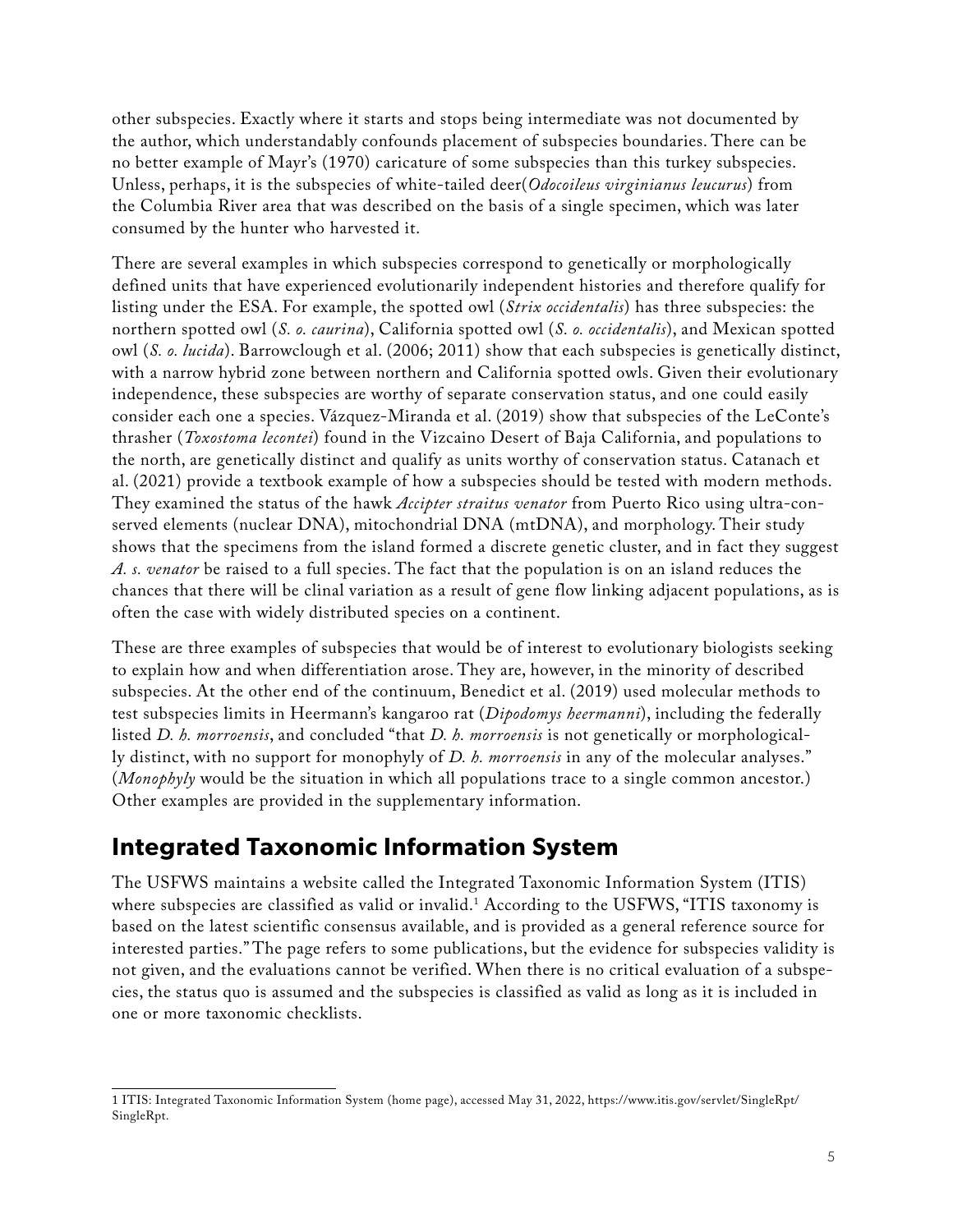other subspecies. Exactly where it starts and stops being intermediate was not documented by the author, which understandably confounds placement of subspecies boundaries. There can be no better example of Mayr's (1970) caricature of some subspecies than this turkey subspecies. Unless, perhaps, it is the subspecies of white-tailed deer(*Odocoileus virginianus leucurus*) from the Columbia River area that was described on the basis of a single specimen, which was later consumed by the hunter who harvested it.

There are several examples in which subspecies correspond to genetically or morphologically defined units that have experienced evolutionarily independent histories and therefore qualify for listing under the ESA. For example, the spotted owl (*Strix occidentalis*) has three subspecies: the northern spotted owl (*S. o. caurina*), California spotted owl (*S. o. occidentalis*), and Mexican spotted owl (*S. o. lucida*). Barrowclough et al. (2006; 2011) show that each subspecies is genetically distinct, with a narrow hybrid zone between northern and California spotted owls. Given their evolutionary independence, these subspecies are worthy of separate conservation status, and one could easily consider each one a species. Vázquez-Miranda et al. (2019) show that subspecies of the LeConte's thrasher (*Toxostoma lecontei*) found in the Vizcaino Desert of Baja California, and populations to the north, are genetically distinct and qualify as units worthy of conservation status. Catanach et al. (2021) provide a textbook example of how a subspecies should be tested with modern methods. They examined the status of the hawk *Accipter straitus venator* from Puerto Rico using ultra-conserved elements (nuclear DNA), mitochondrial DNA (mtDNA), and morphology. Their study shows that the specimens from the island formed a discrete genetic cluster, and in fact they suggest *A. s. venator* be raised to a full species. The fact that the population is on an island reduces the chances that there will be clinal variation as a result of gene flow linking adjacent populations, as is often the case with widely distributed species on a continent.

These are three examples of subspecies that would be of interest to evolutionary biologists seeking to explain how and when differentiation arose. They are, however, in the minority of described subspecies. At the other end of the continuum, Benedict et al. (2019) used molecular methods to test subspecies limits in Heermann's kangaroo rat (*Dipodomys heermanni*), including the federally listed *D. h. morroensis*, and concluded "that *D. h. morroensis* is not genetically or morphologically distinct, with no support for monophyly of *D. h. morroensis* in any of the molecular analyses." (*Monophyly* would be the situation in which all populations trace to a single common ancestor.) Other examples are provided in the supplementary information.

#### **Integrated Taxonomic Information System**

The USFWS maintains a website called the Integrated Taxonomic Information System (ITIS) where subspecies are classified as valid or invalid.<sup>1</sup> According to the USFWS, "ITIS taxonomy is based on the latest scientific consensus available, and is provided as a general reference source for interested parties." The page refers to some publications, but the evidence for subspecies validity is not given, and the evaluations cannot be verified. When there is no critical evaluation of a subspecies, the status quo is assumed and the subspecies is classified as valid as long as it is included in one or more taxonomic checklists.

<sup>1</sup> ITIS: Integrated Taxonomic Information System (home page), accessed May 31, 2022, [https://www.itis.gov/servlet/SingleRpt/](https://www.itis.gov/servlet/SingleRpt/SingleRpt) [SingleRpt.](https://www.itis.gov/servlet/SingleRpt/SingleRpt)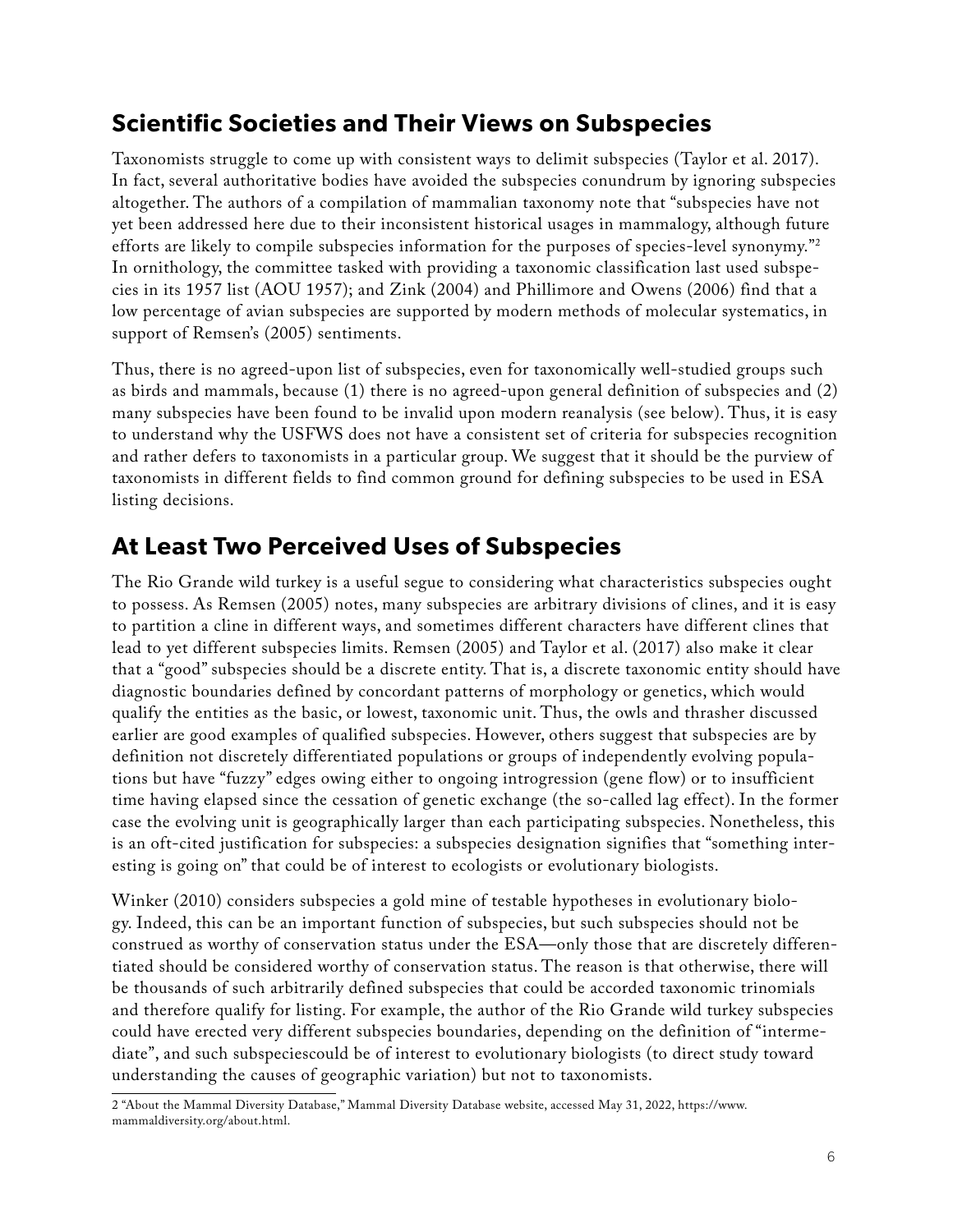#### **Scientific Societies and Their Views on Subspecies**

Taxonomists struggle to come up with consistent ways to delimit subspecies (Taylor et al. 2017). In fact, several authoritative bodies have avoided the subspecies conundrum by ignoring subspecies altogether. The authors of a compilation of mammalian taxonomy note that "subspecies have not yet been addressed here due to their inconsistent historical usages in mammalogy, although future efforts are likely to compile subspecies information for the purposes of species-level synonymy."2 In ornithology, the committee tasked with providing a taxonomic classification last used subspecies in its 1957 list (AOU 1957); and Zink (2004) and Phillimore and Owens (2006) find that a low percentage of avian subspecies are supported by modern methods of molecular systematics, in support of Remsen's (2005) sentiments.

Thus, there is no agreed-upon list of subspecies, even for taxonomically well-studied groups such as birds and mammals, because (1) there is no agreed-upon general definition of subspecies and (2) many subspecies have been found to be invalid upon modern reanalysis (see below). Thus, it is easy to understand why the USFWS does not have a consistent set of criteria for subspecies recognition and rather defers to taxonomists in a particular group. We suggest that it should be the purview of taxonomists in different fields to find common ground for defining subspecies to be used in ESA listing decisions.

#### **At Least Two Perceived Uses of Subspecies**

The Rio Grande wild turkey is a useful segue to considering what characteristics subspecies ought to possess. As Remsen (2005) notes, many subspecies are arbitrary divisions of clines, and it is easy to partition a cline in different ways, and sometimes different characters have different clines that lead to yet different subspecies limits. Remsen (2005) and Taylor et al. (2017) also make it clear that a "good" subspecies should be a discrete entity. That is, a discrete taxonomic entity should have diagnostic boundaries defined by concordant patterns of morphology or genetics, which would qualify the entities as the basic, or lowest, taxonomic unit. Thus, the owls and thrasher discussed earlier are good examples of qualified subspecies. However, others suggest that subspecies are by definition not discretely differentiated populations or groups of independently evolving populations but have "fuzzy" edges owing either to ongoing introgression (gene flow) or to insufficient time having elapsed since the cessation of genetic exchange (the so-called lag effect). In the former case the evolving unit is geographically larger than each participating subspecies. Nonetheless, this is an oft-cited justification for subspecies: a subspecies designation signifies that "something interesting is going on" that could be of interest to ecologists or evolutionary biologists.

Winker (2010) considers subspecies a gold mine of testable hypotheses in evolutionary biology. Indeed, this can be an important function of subspecies, but such subspecies should not be construed as worthy of conservation status under the ESA—only those that are discretely differentiated should be considered worthy of conservation status. The reason is that otherwise, there will be thousands of such arbitrarily defined subspecies that could be accorded taxonomic trinomials and therefore qualify for listing. For example, the author of the Rio Grande wild turkey subspecies could have erected very different subspecies boundaries, depending on the definition of "intermediate", and such subspeciescould be of interest to evolutionary biologists (to direct study toward understanding the causes of geographic variation) but not to taxonomists.

<sup>2 &</sup>quot;About the Mammal Diversity Database," Mammal Diversity Database website, accessed May 31, 2022, [https://www.](https://www.mammaldiversity.org/about.html) [mammaldiversity.org/about.html.](https://www.mammaldiversity.org/about.html)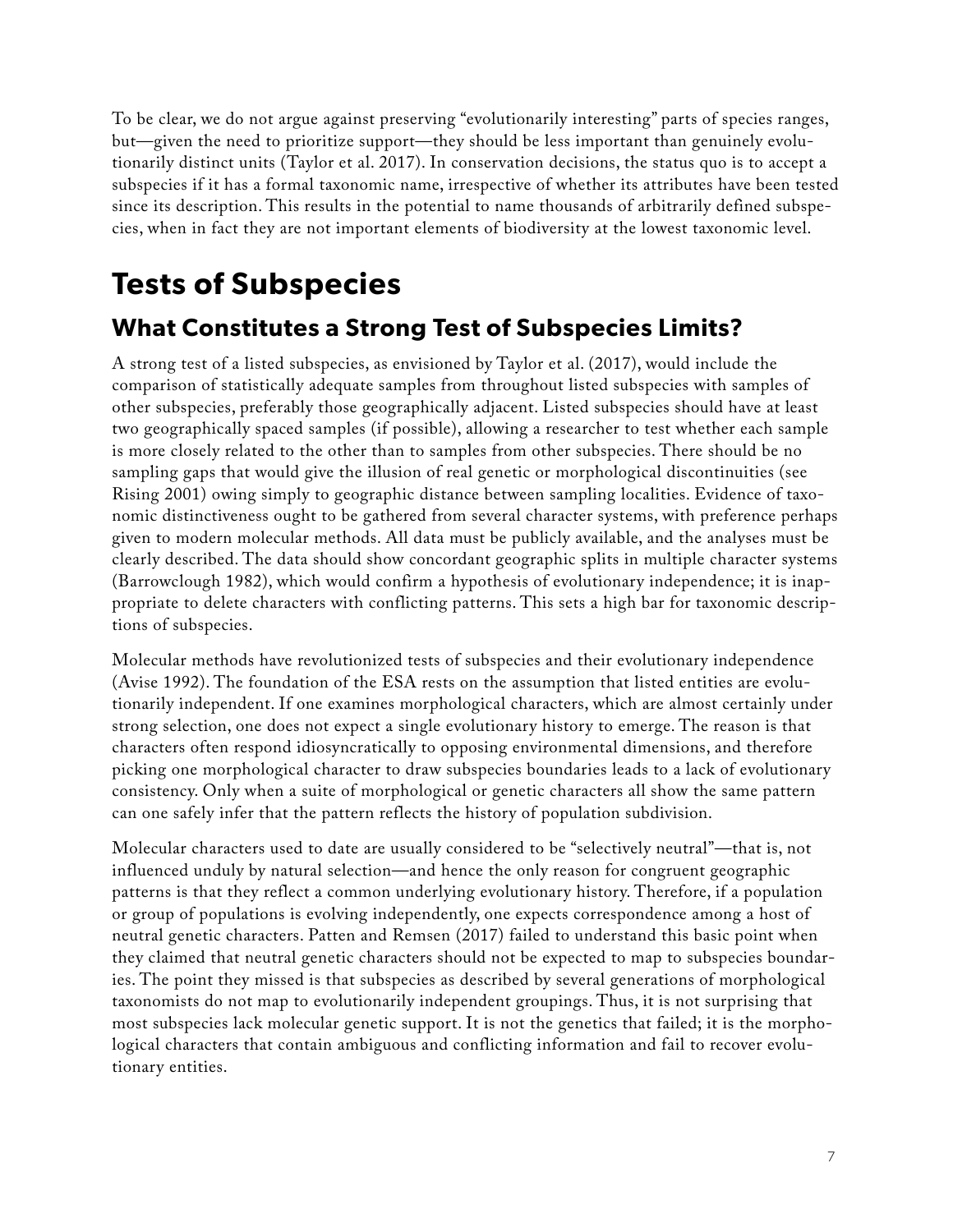To be clear, we do not argue against preserving "evolutionarily interesting" parts of species ranges, but—given the need to prioritize support—they should be less important than genuinely evolutionarily distinct units (Taylor et al. 2017). In conservation decisions, the status quo is to accept a subspecies if it has a formal taxonomic name, irrespective of whether its attributes have been tested since its description. This results in the potential to name thousands of arbitrarily defined subspecies, when in fact they are not important elements of biodiversity at the lowest taxonomic level.

### **Tests of Subspecies**

#### **What Constitutes a Strong Test of Subspecies Limits?**

A strong test of a listed subspecies, as envisioned by Taylor et al. (2017), would include the comparison of statistically adequate samples from throughout listed subspecies with samples of other subspecies, preferably those geographically adjacent. Listed subspecies should have at least two geographically spaced samples (if possible), allowing a researcher to test whether each sample is more closely related to the other than to samples from other subspecies. There should be no sampling gaps that would give the illusion of real genetic or morphological discontinuities (see Rising 2001) owing simply to geographic distance between sampling localities. Evidence of taxonomic distinctiveness ought to be gathered from several character systems, with preference perhaps given to modern molecular methods. All data must be publicly available, and the analyses must be clearly described. The data should show concordant geographic splits in multiple character systems (Barrowclough 1982), which would confirm a hypothesis of evolutionary independence; it is inappropriate to delete characters with conflicting patterns. This sets a high bar for taxonomic descriptions of subspecies.

Molecular methods have revolutionized tests of subspecies and their evolutionary independence (Avise 1992). The foundation of the ESA rests on the assumption that listed entities are evolutionarily independent. If one examines morphological characters, which are almost certainly under strong selection, one does not expect a single evolutionary history to emerge. The reason is that characters often respond idiosyncratically to opposing environmental dimensions, and therefore picking one morphological character to draw subspecies boundaries leads to a lack of evolutionary consistency. Only when a suite of morphological or genetic characters all show the same pattern can one safely infer that the pattern reflects the history of population subdivision.

Molecular characters used to date are usually considered to be "selectively neutral"—that is, not influenced unduly by natural selection—and hence the only reason for congruent geographic patterns is that they reflect a common underlying evolutionary history. Therefore, if a population or group of populations is evolving independently, one expects correspondence among a host of neutral genetic characters. Patten and Remsen (2017) failed to understand this basic point when they claimed that neutral genetic characters should not be expected to map to subspecies boundaries. The point they missed is that subspecies as described by several generations of morphological taxonomists do not map to evolutionarily independent groupings. Thus, it is not surprising that most subspecies lack molecular genetic support. It is not the genetics that failed; it is the morphological characters that contain ambiguous and conflicting information and fail to recover evolutionary entities.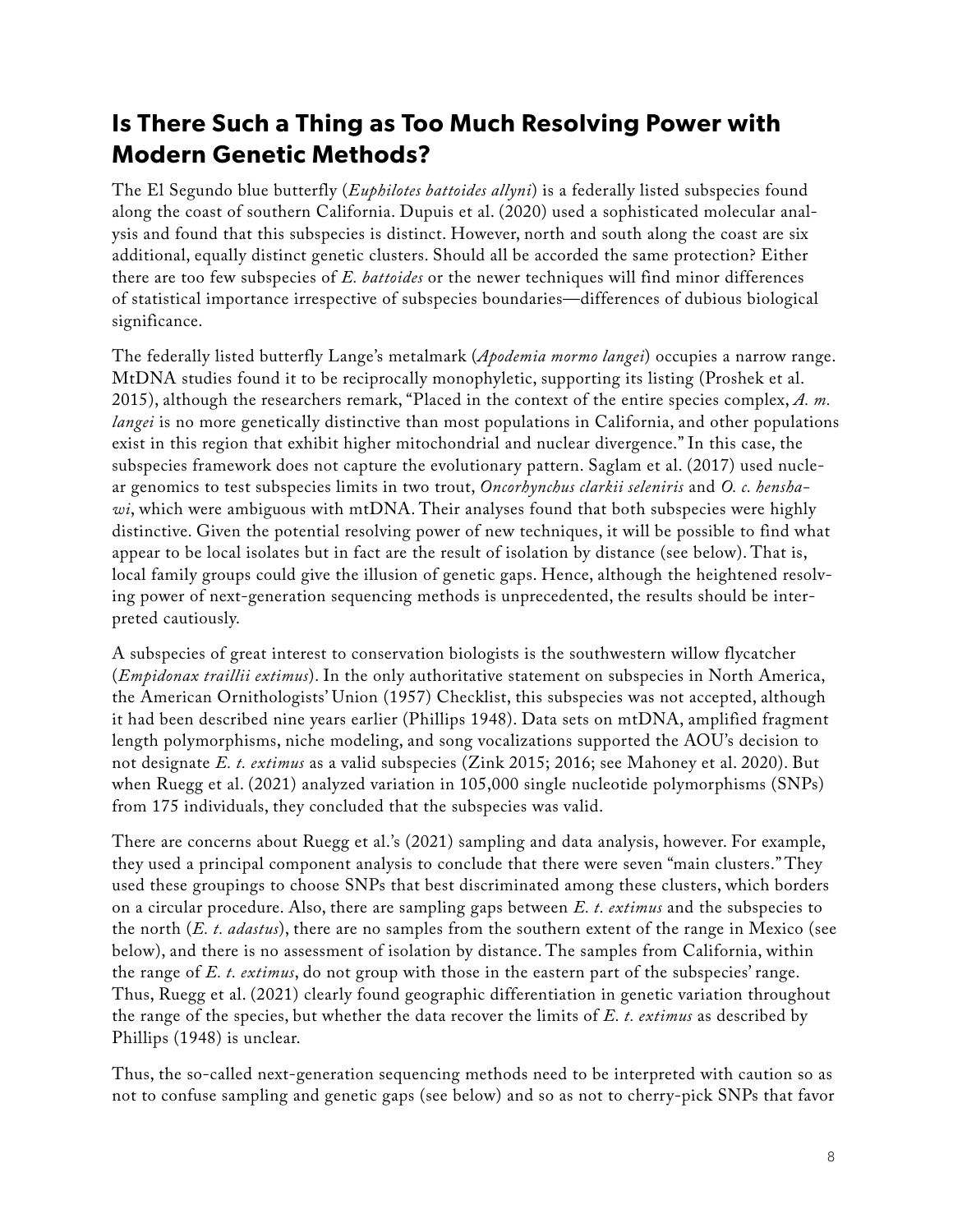### **Is There Such a Thing as Too Much Resolving Power with Modern Genetic Methods?**

The El Segundo blue butterfly (*Euphilotes battoides allyni*) is a federally listed subspecies found along the coast of southern California. Dupuis et al. (2020) used a sophisticated molecular analysis and found that this subspecies is distinct. However, north and south along the coast are six additional, equally distinct genetic clusters. Should all be accorded the same protection? Either there are too few subspecies of *E. battoides* or the newer techniques will find minor differences of statistical importance irrespective of subspecies boundaries—differences of dubious biological significance.

The federally listed butterfly Lange's metalmark (*Apodemia mormo langei*) occupies a narrow range. MtDNA studies found it to be reciprocally monophyletic, supporting its listing (Proshek et al. 2015), although the researchers remark, "Placed in the context of the entire species complex, *A. m. langei* is no more genetically distinctive than most populations in California, and other populations exist in this region that exhibit higher mitochondrial and nuclear divergence." In this case, the subspecies framework does not capture the evolutionary pattern. Saglam et al. (2017) used nuclear genomics to test subspecies limits in two trout, *Oncorhynchus clarkii seleniris* and *O. c. henshawi*, which were ambiguous with mtDNA. Their analyses found that both subspecies were highly distinctive. Given the potential resolving power of new techniques, it will be possible to find what appear to be local isolates but in fact are the result of isolation by distance (see below). That is, local family groups could give the illusion of genetic gaps. Hence, although the heightened resolving power of next-generation sequencing methods is unprecedented, the results should be interpreted cautiously.

A subspecies of great interest to conservation biologists is the southwestern willow flycatcher (*Empidonax traillii extimus*). In the only authoritative statement on subspecies in North America, the American Ornithologists' Union (1957) Checklist, this subspecies was not accepted, although it had been described nine years earlier (Phillips 1948). Data sets on mtDNA, amplified fragment length polymorphisms, niche modeling, and song vocalizations supported the AOU's decision to not designate *E. t. extimus* as a valid subspecies (Zink 2015; 2016; see Mahoney et al. 2020). But when Ruegg et al. (2021) analyzed variation in 105,000 single nucleotide polymorphisms (SNPs) from 175 individuals, they concluded that the subspecies was valid.

There are concerns about Ruegg et al.'s (2021) sampling and data analysis, however. For example, they used a principal component analysis to conclude that there were seven "main clusters." They used these groupings to choose SNPs that best discriminated among these clusters, which borders on a circular procedure. Also, there are sampling gaps between *E. t. extimus* and the subspecies to the north (*E. t. adastus*), there are no samples from the southern extent of the range in Mexico (see below), and there is no assessment of isolation by distance. The samples from California, within the range of *E. t. extimus*, do not group with those in the eastern part of the subspecies' range. Thus, Ruegg et al. (2021) clearly found geographic differentiation in genetic variation throughout the range of the species, but whether the data recover the limits of *E. t. extimus* as described by Phillips (1948) is unclear.

Thus, the so-called next-generation sequencing methods need to be interpreted with caution so as not to confuse sampling and genetic gaps (see below) and so as not to cherry-pick SNPs that favor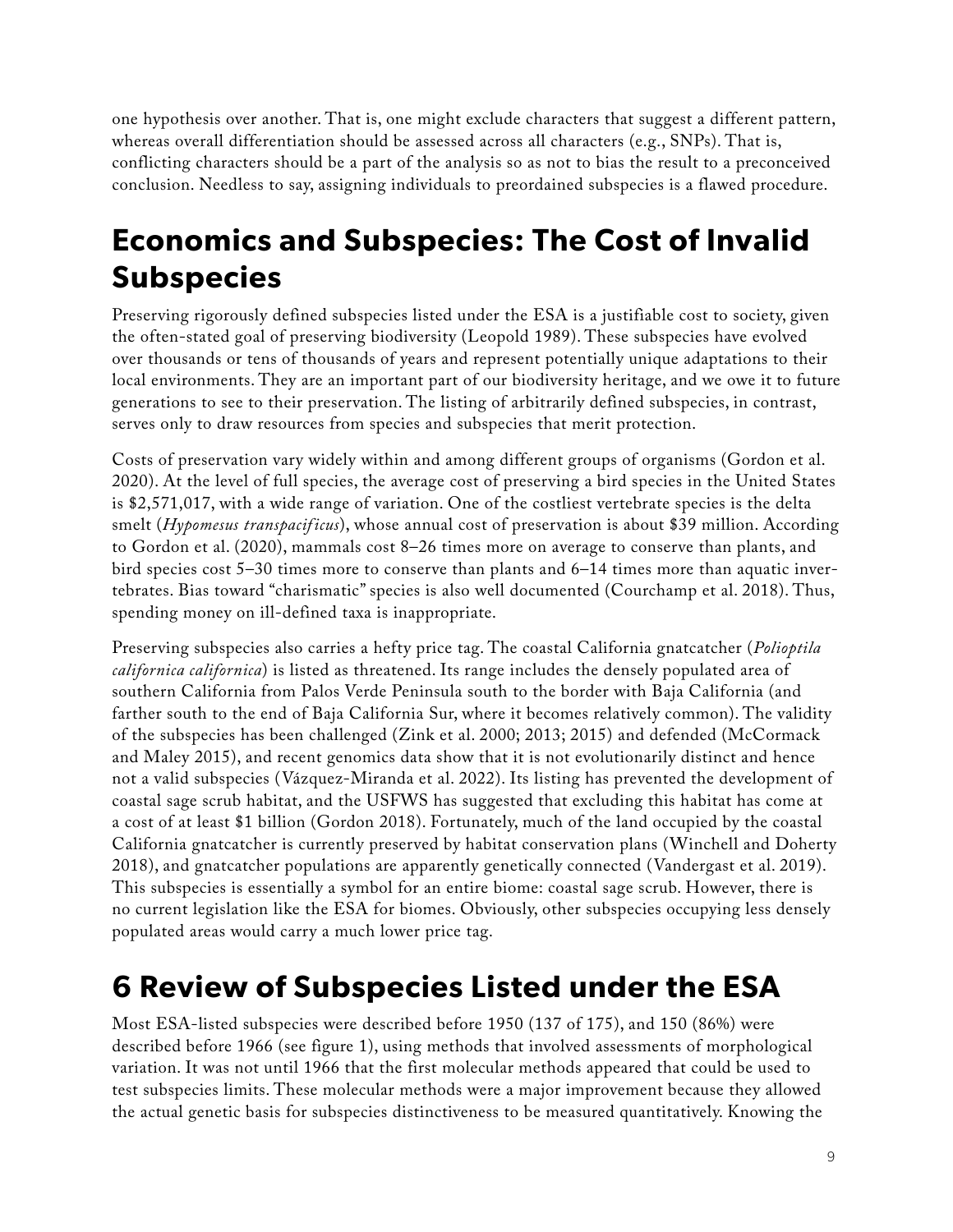one hypothesis over another. That is, one might exclude characters that suggest a different pattern, whereas overall differentiation should be assessed across all characters (e.g., SNPs). That is, conflicting characters should be a part of the analysis so as not to bias the result to a preconceived conclusion. Needless to say, assigning individuals to preordained subspecies is a flawed procedure.

### **Economics and Subspecies: The Cost of Invalid Subspecies**

Preserving rigorously defined subspecies listed under the ESA is a justifiable cost to society, given the often-stated goal of preserving biodiversity (Leopold 1989). These subspecies have evolved over thousands or tens of thousands of years and represent potentially unique adaptations to their local environments. They are an important part of our biodiversity heritage, and we owe it to future generations to see to their preservation. The listing of arbitrarily defined subspecies, in contrast, serves only to draw resources from species and subspecies that merit protection.

Costs of preservation vary widely within and among different groups of organisms (Gordon et al. 2020). At the level of full species, the average cost of preserving a bird species in the United States is \$2,571,017, with a wide range of variation. One of the costliest vertebrate species is the delta smelt (*Hypomesus transpacificus*), whose annual cost of preservation is about \$39 million. According to Gordon et al. (2020), mammals cost 8–26 times more on average to conserve than plants, and bird species cost 5–30 times more to conserve than plants and 6–14 times more than aquatic invertebrates. Bias toward "charismatic" species is also well documented (Courchamp et al. 2018). Thus, spending money on ill-defined taxa is inappropriate.

Preserving subspecies also carries a hefty price tag. The coastal California gnatcatcher (*Polioptila californica californica*) is listed as threatened. Its range includes the densely populated area of southern California from Palos Verde Peninsula south to the border with Baja California (and farther south to the end of Baja California Sur, where it becomes relatively common). The validity of the subspecies has been challenged (Zink et al. 2000; 2013; 2015) and defended (McCormack and Maley 2015), and recent genomics data show that it is not evolutionarily distinct and hence not a valid subspecies (Vázquez-Miranda et al. 2022). Its listing has prevented the development of coastal sage scrub habitat, and the USFWS has suggested that excluding this habitat has come at a cost of at least \$1 billion (Gordon 2018). Fortunately, much of the land occupied by the coastal California gnatcatcher is currently preserved by habitat conservation plans (Winchell and Doherty 2018), and gnatcatcher populations are apparently genetically connected (Vandergast et al. 2019). This subspecies is essentially a symbol for an entire biome: coastal sage scrub. However, there is no current legislation like the ESA for biomes. Obviously, other subspecies occupying less densely populated areas would carry a much lower price tag.

### **6 Review of Subspecies Listed under the ESA**

Most ESA-listed subspecies were described before 1950 (137 of 175), and 150 (86%) were described before 1966 (see figure 1), using methods that involved assessments of morphological variation. It was not until 1966 that the first molecular methods appeared that could be used to test subspecies limits. These molecular methods were a major improvement because they allowed the actual genetic basis for subspecies distinctiveness to be measured quantitatively. Knowing the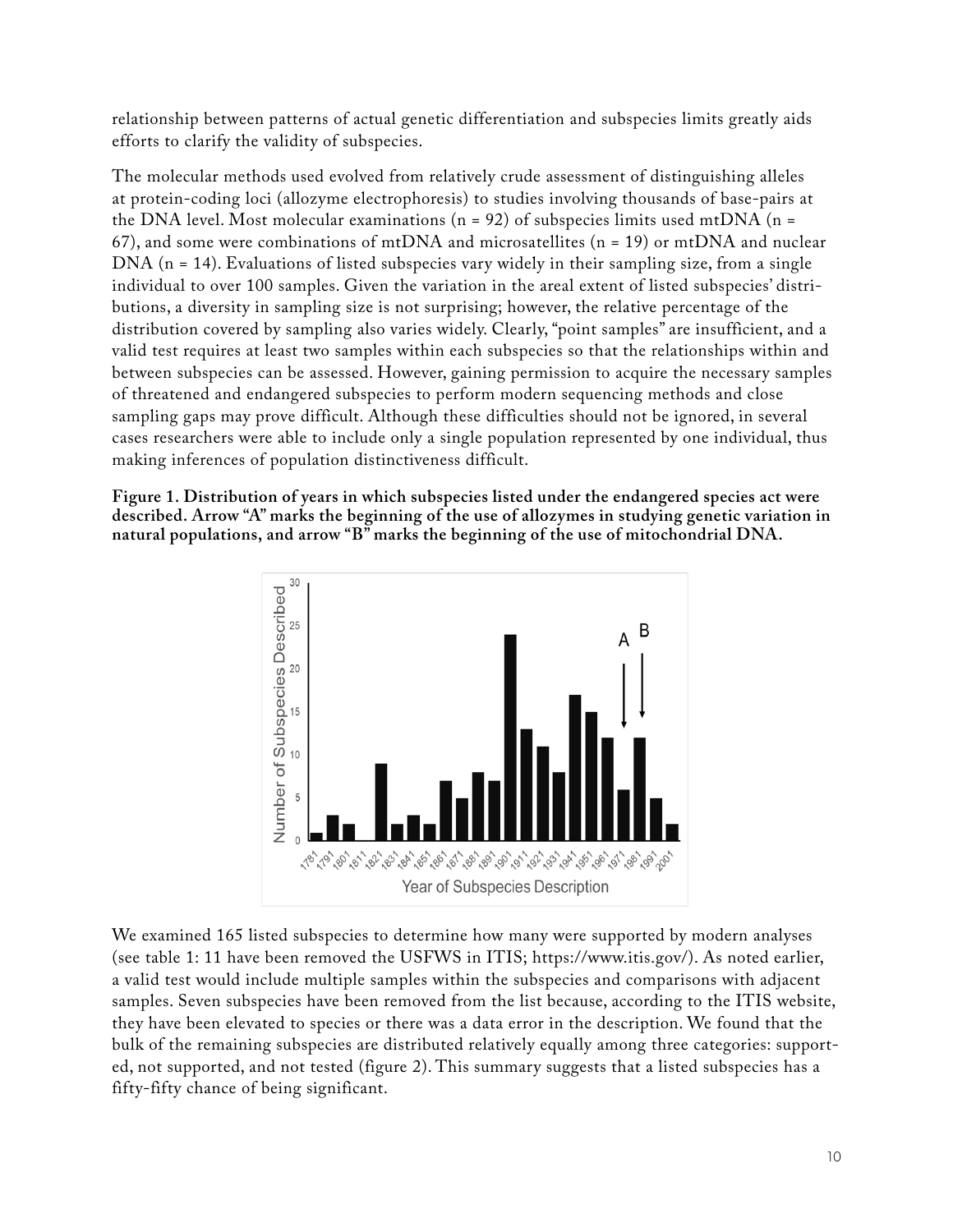relationship between patterns of actual genetic differentiation and subspecies limits greatly aids efforts to clarify the validity of subspecies.

The molecular methods used evolved from relatively crude assessment of distinguishing alleles at protein-coding loci (allozyme electrophoresis) to studies involving thousands of base-pairs at the DNA level. Most molecular examinations ( $n = 92$ ) of subspecies limits used mtDNA ( $n =$ 67), and some were combinations of mtDNA and microsatellites ( $n = 19$ ) or mtDNA and nuclear DNA (n = 14). Evaluations of listed subspecies vary widely in their sampling size, from a single individual to over 100 samples. Given the variation in the areal extent of listed subspecies' distributions, a diversity in sampling size is not surprising; however, the relative percentage of the distribution covered by sampling also varies widely. Clearly, "point samples" are insufficient, and a valid test requires at least two samples within each subspecies so that the relationships within and between subspecies can be assessed. However, gaining permission to acquire the necessary samples of threatened and endangered subspecies to perform modern sequencing methods and close sampling gaps may prove difficult. Although these difficulties should not be ignored, in several cases researchers were able to include only a single population represented by one individual, thus making inferences of population distinctiveness difficult.

**Figure 1. Distribution of years in which subspecies listed under the endangered species act were described. Arrow "A" marks the beginning of the use of allozymes in studying genetic variation in natural populations, and arrow "B" marks the beginning of the use of mitochondrial DNA.**



We examined 165 listed subspecies to determine how many were supported by modern analyses (see table 1: 11 have been removed the USFWS in ITIS; <https://www.itis.gov/>). As noted earlier, a valid test would include multiple samples within the subspecies and comparisons with adjacent samples. Seven subspecies have been removed from the list because, according to the ITIS website, they have been elevated to species or there was a data error in the description. We found that the bulk of the remaining subspecies are distributed relatively equally among three categories: supported, not supported, and not tested (figure 2). This summary suggests that a listed subspecies has a fifty-fifty chance of being significant.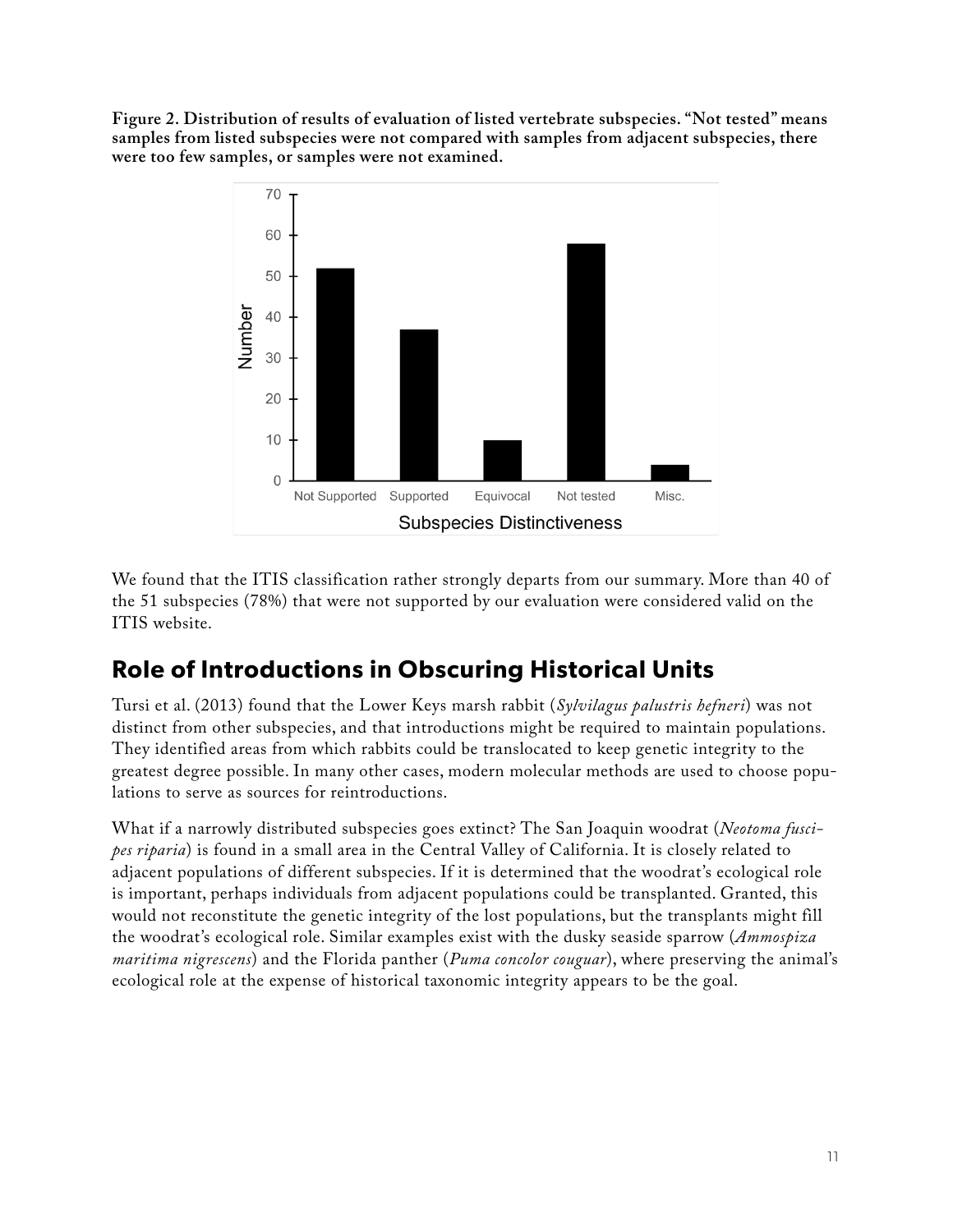**Figure 2. Distribution of results of evaluation of listed vertebrate subspecies. "Not tested" means samples from listed subspecies were not compared with samples from adjacent subspecies, there were too few samples, or samples were not examined.**



We found that the ITIS classification rather strongly departs from our summary. More than 40 of the 51 subspecies (78%) that were not supported by our evaluation were considered valid on the ITIS website.

### **Role of Introductions in Obscuring Historical Units**

Tursi et al. (2013) found that the Lower Keys marsh rabbit (*Sylvilagus palustris hefneri*) was not distinct from other subspecies, and that introductions might be required to maintain populations. They identified areas from which rabbits could be translocated to keep genetic integrity to the greatest degree possible. In many other cases, modern molecular methods are used to choose populations to serve as sources for reintroductions.

What if a narrowly distributed subspecies goes extinct? The San Joaquin woodrat (*Neotoma fuscipes riparia*) is found in a small area in the Central Valley of California. It is closely related to adjacent populations of different subspecies. If it is determined that the woodrat's ecological role is important, perhaps individuals from adjacent populations could be transplanted. Granted, this would not reconstitute the genetic integrity of the lost populations, but the transplants might fill the woodrat's ecological role. Similar examples exist with the dusky seaside sparrow (*Ammospiza maritima nigrescens*) and the Florida panther (*Puma concolor couguar*), where preserving the animal's ecological role at the expense of historical taxonomic integrity appears to be the goal.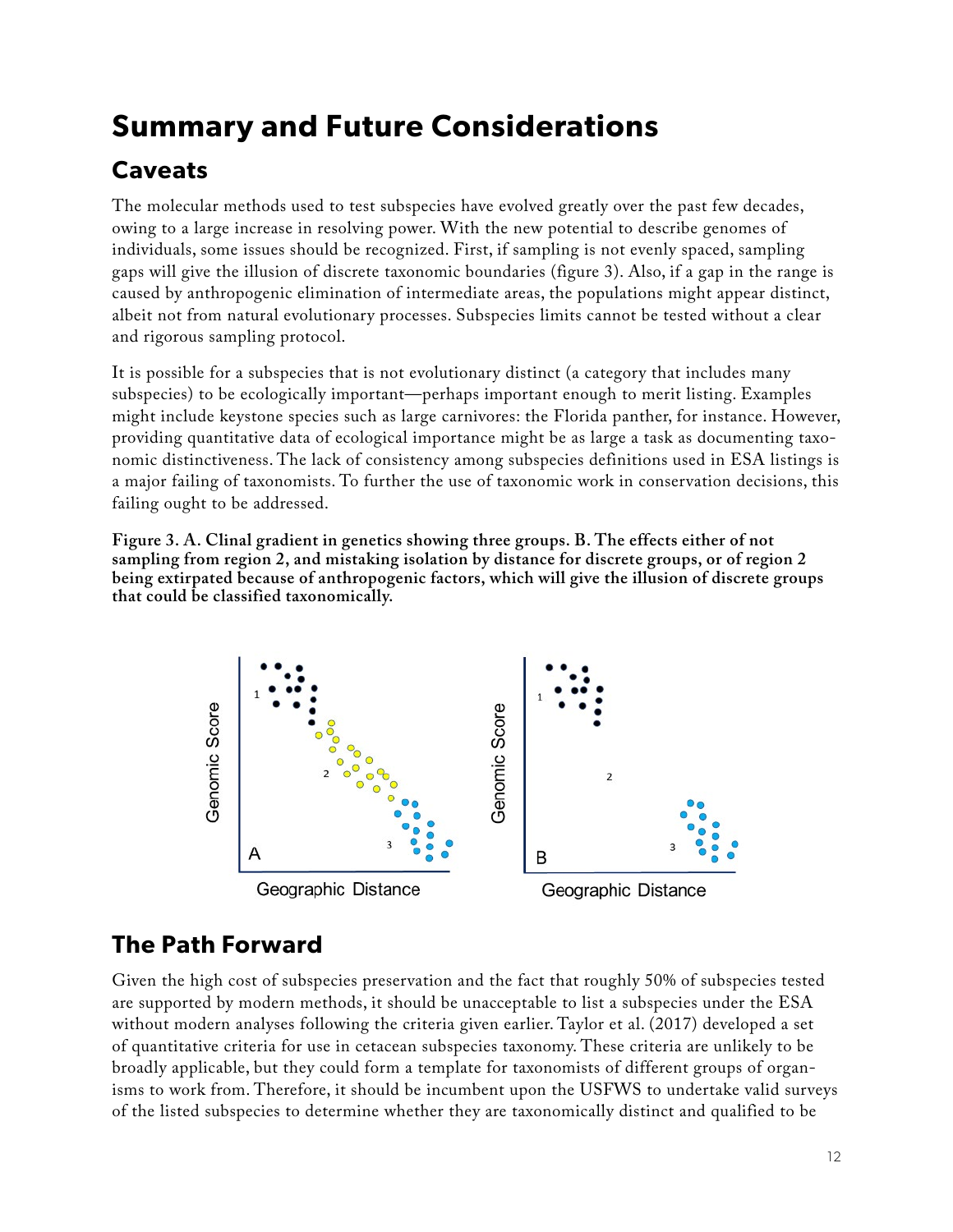### **Summary and Future Considerations**

### **Caveats**

The molecular methods used to test subspecies have evolved greatly over the past few decades, owing to a large increase in resolving power. With the new potential to describe genomes of individuals, some issues should be recognized. First, if sampling is not evenly spaced, sampling gaps will give the illusion of discrete taxonomic boundaries (figure 3). Also, if a gap in the range is caused by anthropogenic elimination of intermediate areas, the populations might appear distinct, albeit not from natural evolutionary processes. Subspecies limits cannot be tested without a clear and rigorous sampling protocol.

It is possible for a subspecies that is not evolutionary distinct (a category that includes many subspecies) to be ecologically important—perhaps important enough to merit listing. Examples might include keystone species such as large carnivores: the Florida panther, for instance. However, providing quantitative data of ecological importance might be as large a task as documenting taxonomic distinctiveness. The lack of consistency among subspecies definitions used in ESA listings is a major failing of taxonomists. To further the use of taxonomic work in conservation decisions, this failing ought to be addressed.

**Figure 3. A. Clinal gradient in genetics showing three groups. B. The effects either of not sampling from region 2, and mistaking isolation by distance for discrete groups, or of region 2 being extirpated because of anthropogenic factors, which will give the illusion of discrete groups that could be classified taxonomically.**



### **The Path Forward**

Given the high cost of subspecies preservation and the fact that roughly 50% of subspecies tested are supported by modern methods, it should be unacceptable to list a subspecies under the ESA without modern analyses following the criteria given earlier. Taylor et al. (2017) developed a set of quantitative criteria for use in cetacean subspecies taxonomy. These criteria are unlikely to be broadly applicable, but they could form a template for taxonomists of different groups of organisms to work from. Therefore, it should be incumbent upon the USFWS to undertake valid surveys of the listed subspecies to determine whether they are taxonomically distinct and qualified to be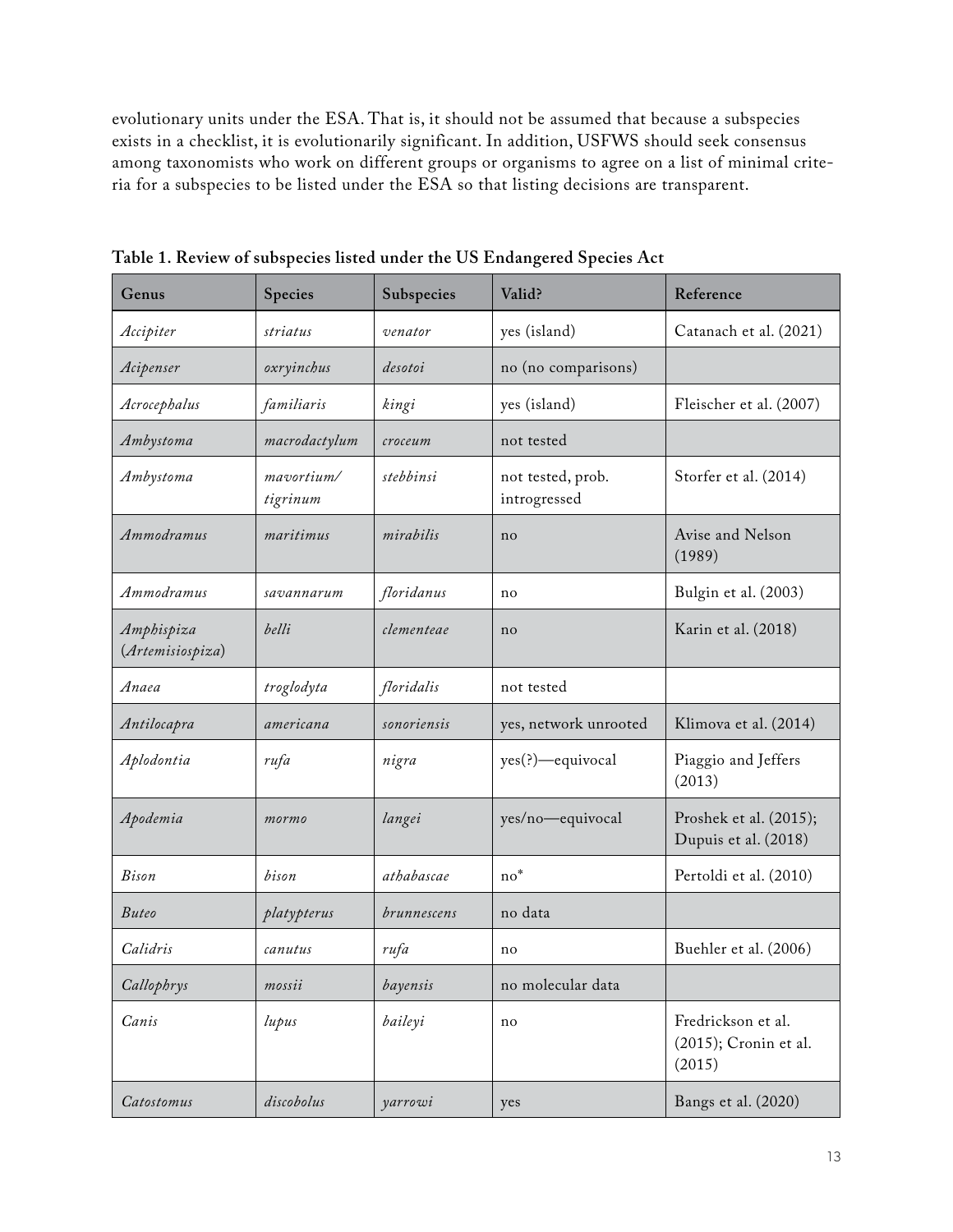evolutionary units under the ESA. That is, it should not be assumed that because a subspecies exists in a checklist, it is evolutionarily significant. In addition, USFWS should seek consensus among taxonomists who work on different groups or organisms to agree on a list of minimal criteria for a subspecies to be listed under the ESA so that listing decisions are transparent.

| Genus                          | Species                | Subspecies  | Valid?                            | Reference                                                |
|--------------------------------|------------------------|-------------|-----------------------------------|----------------------------------------------------------|
| Accipiter                      | striatus               | venator     | yes (island)                      | Catanach et al. (2021)                                   |
| Acipenser                      | oxryinchus             | desotoi     | no (no comparisons)               |                                                          |
| Acrocephalus                   | familiaris             | kingi       | yes (island)                      | Fleischer et al. (2007)                                  |
| Ambystoma                      | macrodactylum          | croceum     | not tested                        |                                                          |
| Ambystoma                      | mavortium/<br>tigrinum | stebbinsi   | not tested, prob.<br>introgressed | Storfer et al. (2014)                                    |
| Ammodramus                     | maritimus              | mirabilis   | no                                | Avise and Nelson<br>(1989)                               |
| Ammodramus                     | savannarum             | floridanus  | no                                | Bulgin et al. (2003)                                     |
| Amphispiza<br>(Artemisiospiza) | belli                  | clementeae  | no                                | Karin et al. (2018)                                      |
| Anaea                          | troglodyta             | floridalis  | not tested                        |                                                          |
| Antilocapra                    | americana              | sonoriensis | yes, network unrooted             | Klimova et al. (2014)                                    |
| Aplodontia                     | rufa                   | nigra       | yes(?)—equivocal                  | Piaggio and Jeffers<br>(2013)                            |
| Apodemia                       | mormo                  | langei      | yes/no-equivocal                  | Proshek et al. (2015);<br>Dupuis et al. (2018)           |
| <b>Bison</b>                   | bison                  | athabascae  | $no*$                             | Pertoldi et al. (2010)                                   |
| <b>Buteo</b>                   | platypterus            | brunnescens | no data                           |                                                          |
| Calidris                       | canutus                | rufa        | no                                | Buehler et al. (2006)                                    |
| Callophrys                     | mossii                 | bayensis    | no molecular data                 |                                                          |
| Canis                          | lupus                  | baileyi     | no                                | Fredrickson et al.<br>$(2015)$ ; Cronin et al.<br>(2015) |
| Catostomus                     | discobolus             | yarrowi     | yes                               | Bangs et al. (2020)                                      |

**Table 1. Review of subspecies listed under the US Endangered Species Act**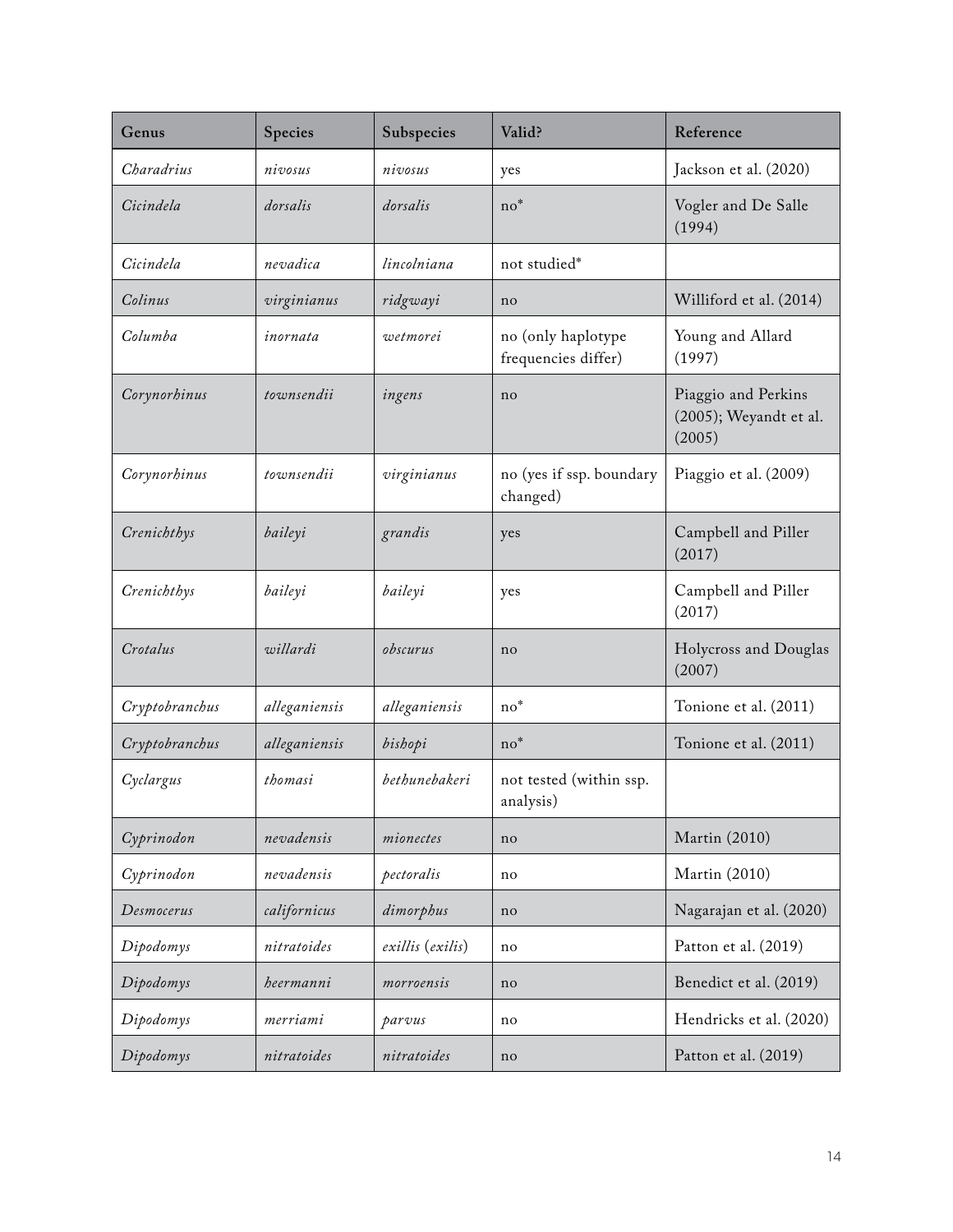| Genus          | Species       | Subspecies       | Valid?                                    | Reference                                               |
|----------------|---------------|------------------|-------------------------------------------|---------------------------------------------------------|
| Charadrius     | nivosus       | nivosus          | yes                                       | Jackson et al. (2020)                                   |
| Cicindela      | dorsalis      | dorsalis         | $no*$                                     | Vogler and De Salle<br>(1994)                           |
| Cicindela      | nevadica      | lincolniana      | not studied*                              |                                                         |
| Colinus        | virginianus   | ridgwayi         | no                                        | Williford et al. (2014)                                 |
| Columba        | inornata      | wetmorei         | no (only haplotype<br>frequencies differ) | Young and Allard<br>(1997)                              |
| Corynorhinus   | townsendii    | ingens           | no                                        | Piaggio and Perkins<br>(2005); Weyandt et al.<br>(2005) |
| Corynorhinus   | townsendii    | virginianus      | no (yes if ssp. boundary<br>changed)      | Piaggio et al. (2009)                                   |
| Crenichthys    | baileyi       | grandis          | yes                                       | Campbell and Piller<br>(2017)                           |
| Crenichthys    | baileyi       | baileyi          | yes                                       | Campbell and Piller<br>(2017)                           |
| Crotalus       | willardi      | obscurus         | no                                        | Holycross and Douglas<br>(2007)                         |
| Cryptobranchus | alleganiensis | alleganiensis    | $no*$                                     | Tonione et al. (2011)                                   |
| Cryptobranchus | alleganiensis | bishopi          | $no*$                                     | Tonione et al. (2011)                                   |
| Cyclargus      | thomasi       | bethunebakeri    | not tested (within ssp.<br>analysis)      |                                                         |
| Cyprinodon     | nevadensis    | mionectes        | no                                        | Martin (2010)                                           |
| Cyprinodon     | nevadensis    | pectoralis       | no                                        | Martin (2010)                                           |
| Desmocerus     | californicus  | dimorphus        | no                                        | Nagarajan et al. (2020)                                 |
| Dipodomys      | nitratoides   | exillis (exilis) | no                                        | Patton et al. (2019)                                    |
| Dipodomys      | heermanni     | morroensis       | no                                        | Benedict et al. (2019)                                  |
| Dipodomys      | merriami      | parvus           | no                                        | Hendricks et al. (2020)                                 |
| Dipodomys      | nitratoides   | nitratoides      | no                                        | Patton et al. (2019)                                    |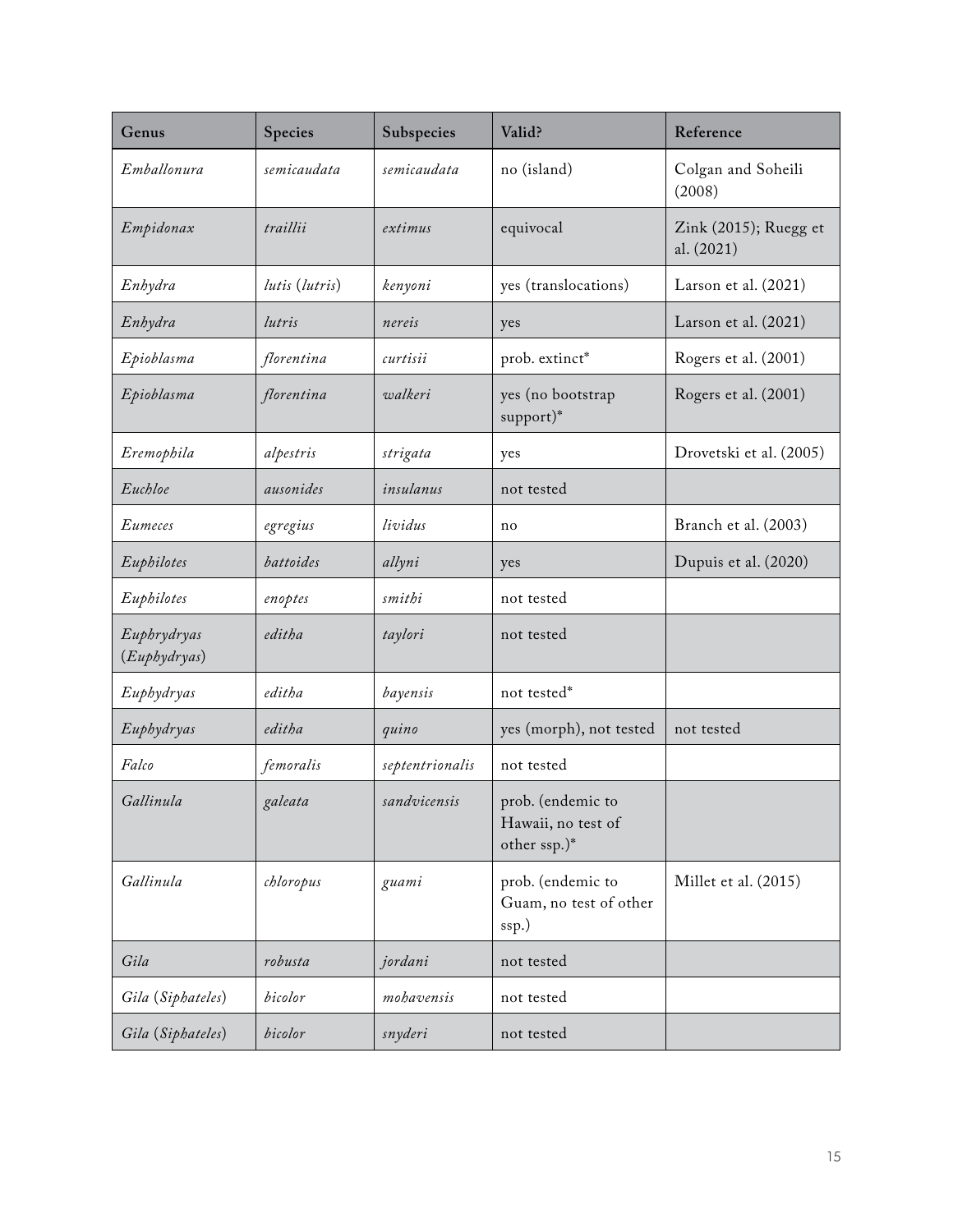| Genus                       | Species        | Subspecies      | Valid?                                                  | Reference                           |
|-----------------------------|----------------|-----------------|---------------------------------------------------------|-------------------------------------|
| Emballonura                 | semicaudata    | semicaudata     | no (island)                                             | Colgan and Soheili<br>(2008)        |
| Empidonax                   | traillii       | extimus         | equivocal                                               | Zink (2015); Ruegg et<br>al. (2021) |
| Enhydra                     | lutis (lutris) | kenyoni         | yes (translocations)                                    | Larson et al. (2021)                |
| Enhydra                     | lutris         | nereis          | yes                                                     | Larson et al. (2021)                |
| Epioblasma                  | florentina     | curtisii        | prob. extinct*                                          | Rogers et al. (2001)                |
| Epioblasma                  | florentina     | walkeri         | yes (no bootstrap<br>support)*                          | Rogers et al. (2001)                |
| Eremophila                  | alpestris      | strigata        | yes                                                     | Drovetski et al. (2005)             |
| Euchloe                     | ausonides      | insulanus       | not tested                                              |                                     |
| Eumeces                     | egregius       | lividus         | no                                                      | Branch et al. (2003)                |
| Euphilotes                  | battoides      | allyni          | yes                                                     | Dupuis et al. (2020)                |
| Euphilotes                  | enoptes        | smithi          | not tested                                              |                                     |
| Euphrydryas<br>(Euphydryas) | editha         | taylori         | not tested                                              |                                     |
| Euphydryas                  | editha         | bayensis        | not tested*                                             |                                     |
| Euphydryas                  | editha         | quino           | yes (morph), not tested                                 | not tested                          |
| Falco                       | femoralis      | septentrionalis | not tested                                              |                                     |
| Gallinula                   | galeata        | sandvicensis    | prob. (endemic to<br>Hawaii, no test of<br>other ssp.)* |                                     |
| Gallinula                   | chloropus      | guami           | prob. (endemic to<br>Guam, no test of other<br>ssp.)    | Millet et al. (2015)                |
| Gila                        | robusta        | jordani         | not tested                                              |                                     |
| Gila (Siphateles)           | bicolor        | mohavensis      | not tested                                              |                                     |
| Gila (Siphateles)           | bicolor        | snyderi         | not tested                                              |                                     |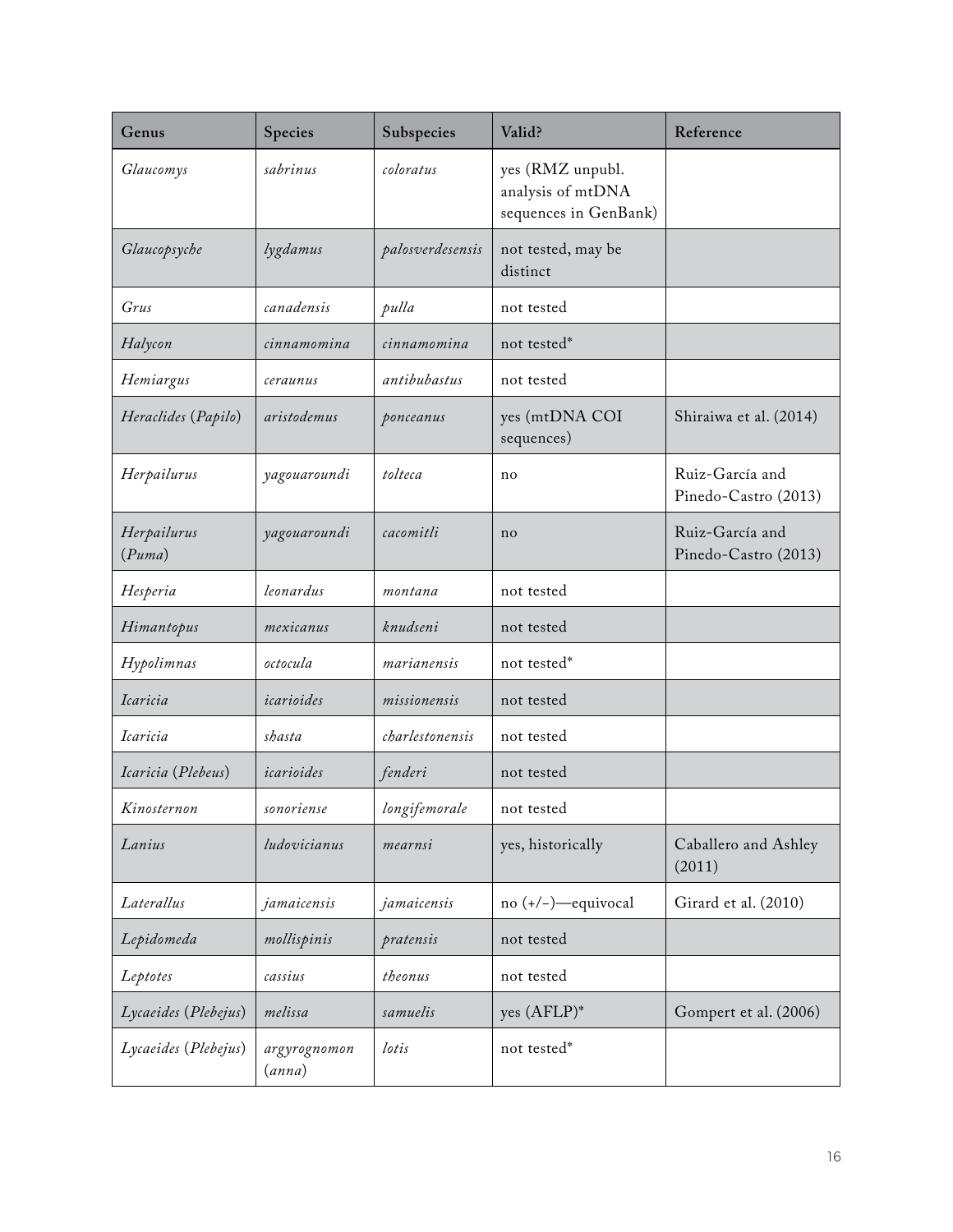| Genus                         | Species                | Subspecies       | Valid?                                                         | Reference                               |
|-------------------------------|------------------------|------------------|----------------------------------------------------------------|-----------------------------------------|
| Glaucomys                     | sabrinus               | coloratus        | yes (RMZ unpubl.<br>analysis of mtDNA<br>sequences in GenBank) |                                         |
| Glaucopsyche                  | lygdamus               | palosverdesensis | not tested, may be<br>distinct                                 |                                         |
| Grus                          | canadensis             | pulla            | not tested                                                     |                                         |
| Halycon                       | cinnamomina            | cinnamomina      | not tested*                                                    |                                         |
| Hemiargus                     | ceraunus               | antibubastus     | not tested                                                     |                                         |
| Heraclides (Papilo)           | aristodemus            | ponceanus        | yes (mtDNA COI<br>sequences)                                   | Shiraiwa et al. (2014)                  |
| Herpailurus                   | yagouaroundi           | tolteca          | no                                                             | Ruiz-García and<br>Pinedo-Castro (2013) |
| Herpailurus<br>(Puma)         | yagouaroundi           | cacomitli        | no                                                             | Ruiz-García and<br>Pinedo-Castro (2013) |
| Hesperia                      | leonardus              | montana          | not tested                                                     |                                         |
| Himantopus                    | mexicanus              | knudseni         | not tested                                                     |                                         |
| Hypolimnas                    | octocula               | marianensis      | not tested*                                                    |                                         |
| Icaricia                      | icarioides             | missionensis     | not tested                                                     |                                         |
| <i><u><b>Icaricia</b></u></i> | shasta                 | charlestonensis  | not tested                                                     |                                         |
| Icaricia (Plebeus)            | icarioides             | fenderi          | not tested                                                     |                                         |
| Kinosternon                   | sonoriense             | longifemorale    | not tested                                                     |                                         |
| Lanius                        | ludovicianus           | mearnsi          | yes, historically                                              | Caballero and Ashley<br>(2011)          |
| Laterallus                    | jamaicensis            | jamaicensis      | no (+/-)-equivocal                                             | Girard et al. (2010)                    |
| Lepidomeda                    | mollispinis            | pratensis        | not tested                                                     |                                         |
| Leptotes                      | cassius                | theonus          | not tested                                                     |                                         |
| Lycaeides (Plebejus)          | melissa                | samuelis         | yes $(AFLP)^*$                                                 | Gompert et al. (2006)                   |
| Lycaeides (Plebejus)          | argyrognomon<br>(anna) | lotis            | not tested*                                                    |                                         |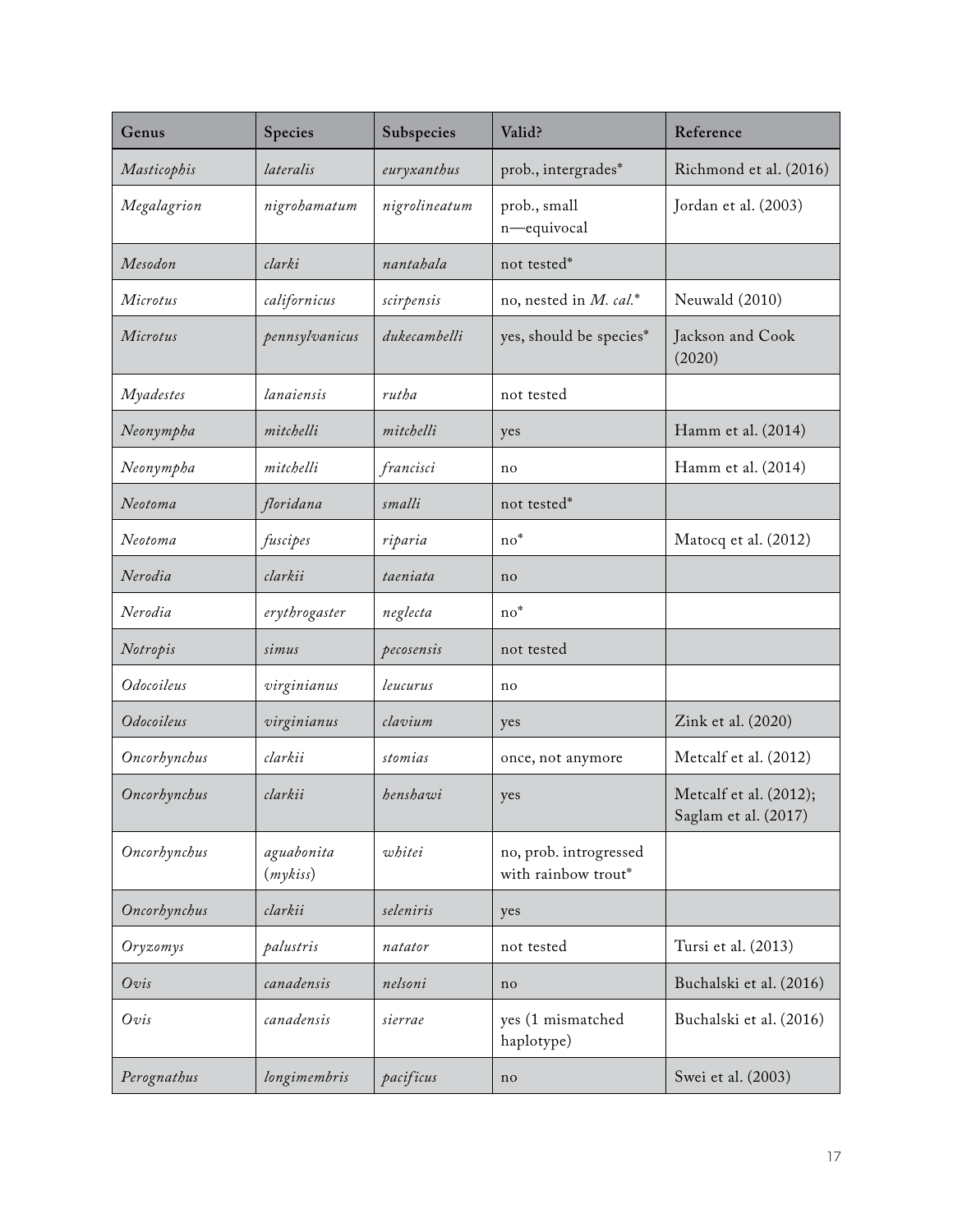| Genus            | Species               | Subspecies    | Valid?                                        | Reference                                      |
|------------------|-----------------------|---------------|-----------------------------------------------|------------------------------------------------|
| Masticophis      | lateralis             | euryxanthus   | prob., intergrades*                           | Richmond et al. (2016)                         |
| Megalagrion      | nigrohamatum          | nigrolineatum | prob., small<br>n-equivocal                   | Jordan et al. (2003)                           |
| Mesodon          | clarki                | nantahala     | not tested*                                   |                                                |
| Microtus         | californicus          | scirpensis    | no, nested in M. cal.*                        | Neuwald (2010)                                 |
| Microtus         | pennsylvanicus        | dukecambelli  | yes, should be species*                       | Jackson and Cook<br>(2020)                     |
| <i>Myadestes</i> | lanaiensis            | rutha         | not tested                                    |                                                |
| Neonympha        | mitchelli             | mitchelli     | yes                                           | Hamm et al. (2014)                             |
| Neonympha        | mitchelli             | francisci     | no                                            | Hamm et al. (2014)                             |
| Neotoma          | floridana             | smalli        | not tested*                                   |                                                |
| Neotoma          | fuscipes              | riparia       | $no*$                                         | Matocq et al. (2012)                           |
| Nerodia          | clarkii               | taeniata      | no                                            |                                                |
| Nerodia          | erythrogaster         | neglecta      | $\mathrm{no}^*$                               |                                                |
| Notropis         | simus                 | pecosensis    | not tested                                    |                                                |
| Odocoileus       | virginianus           | leucurus      | no                                            |                                                |
| Odocoileus       | virginianus           | clavium       | yes                                           | Zink et al. (2020)                             |
| Oncorhynchus     | clarkii               | stomias       | once, not anymore                             | Metcalf et al. (2012)                          |
| Oncorhynchus     | clarkii               | henshawi      | yes                                           | Metcalf et al. (2012);<br>Saglam et al. (2017) |
| Oncorhynchus     | aguabonita<br>(mykis) | whitei        | no, prob. introgressed<br>with rainbow trout* |                                                |
| Oncorhynchus     | clarkii               | seleniris     | yes                                           |                                                |
| Oryzomys         | palustris             | natator       | not tested                                    | Tursi et al. (2013)                            |
| Ovis             | canadensis            | nelsoni       | no                                            | Buchalski et al. (2016)                        |
| Ovis             | canadensis            | sierrae       | yes (1 mismatched<br>haplotype)               | Buchalski et al. (2016)                        |
| Perognathus      | longimembris          | pacificus     | no                                            | Swei et al. (2003)                             |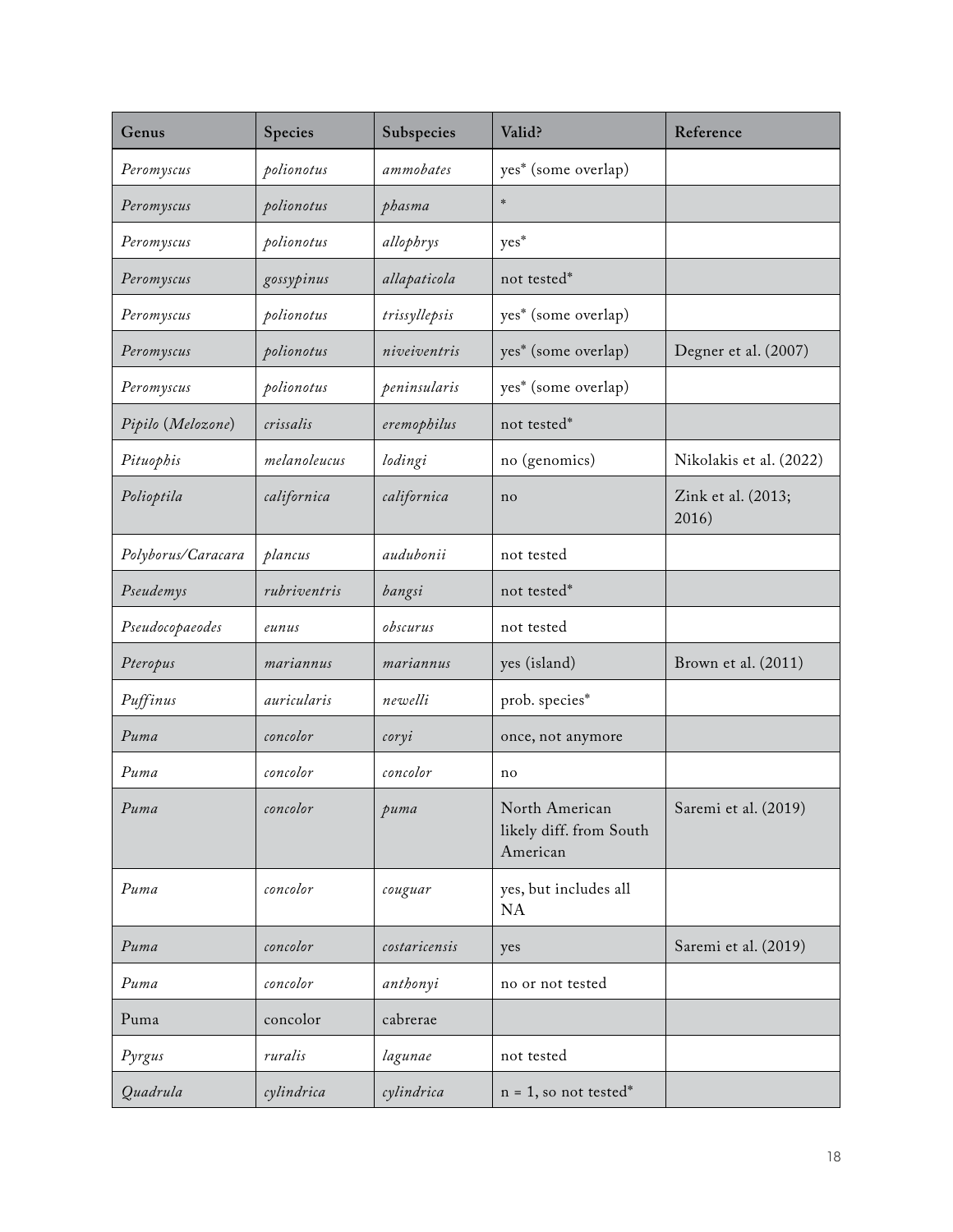| Genus              | Species      | Subspecies    | Valid?                                                | Reference                   |
|--------------------|--------------|---------------|-------------------------------------------------------|-----------------------------|
| Peromyscus         | polionotus   | ammobates     | yes* (some overlap)                                   |                             |
| Peromyscus         | polionotus   | phasma        | $\frac{1}{2}$                                         |                             |
| Peromyscus         | polionotus   | allophrys     | yes*                                                  |                             |
| Peromyscus         | gossypinus   | allapaticola  | not tested*                                           |                             |
| Peromyscus         | polionotus   | trissyllepsis | yes* (some overlap)                                   |                             |
| Peromyscus         | polionotus   | niveiventris  | yes* (some overlap)                                   | Degner et al. (2007)        |
| Peromyscus         | polionotus   | peninsularis  | yes* (some overlap)                                   |                             |
| Pipilo (Melozone)  | crissalis    | eremophilus   | not tested*                                           |                             |
| Pituophis          | melanoleucus | lodingi       | no (genomics)                                         | Nikolakis et al. (2022)     |
| Polioptila         | californica  | californica   | no                                                    | Zink et al. (2013;<br>2016) |
| Polyborus/Caracara | plancus      | audubonii     | not tested                                            |                             |
| Pseudemys          | rubriventris | bangsi        | not tested*                                           |                             |
| Pseudocopaeodes    | eunus        | obscurus      | not tested                                            |                             |
| Pteropus           | mariannus    | mariannus     | yes (island)                                          | Brown et al. (2011)         |
| Puffinus           | auricularis  | newelli       | prob. species*                                        |                             |
| Puma               | concolor     | coryi         | once, not anymore                                     |                             |
| Puma               | concolor     | concolor      | no                                                    |                             |
| Puma               | concolor     | puma          | North American<br>likely diff. from South<br>American | Saremi et al. (2019)        |
| Puma               | concolor     | couguar       | yes, but includes all<br>NA                           |                             |
| Puma               | concolor     | costaricensis | yes                                                   | Saremi et al. (2019)        |
| Puma               | concolor     | anthonyi      | no or not tested                                      |                             |
| Puma               | concolor     | cabrerae      |                                                       |                             |
| Pyrgus             | ruralis      | lagunae       | not tested                                            |                             |
| Quadrula           | cylindrica   | cylindrica    | $n = 1$ , so not tested*                              |                             |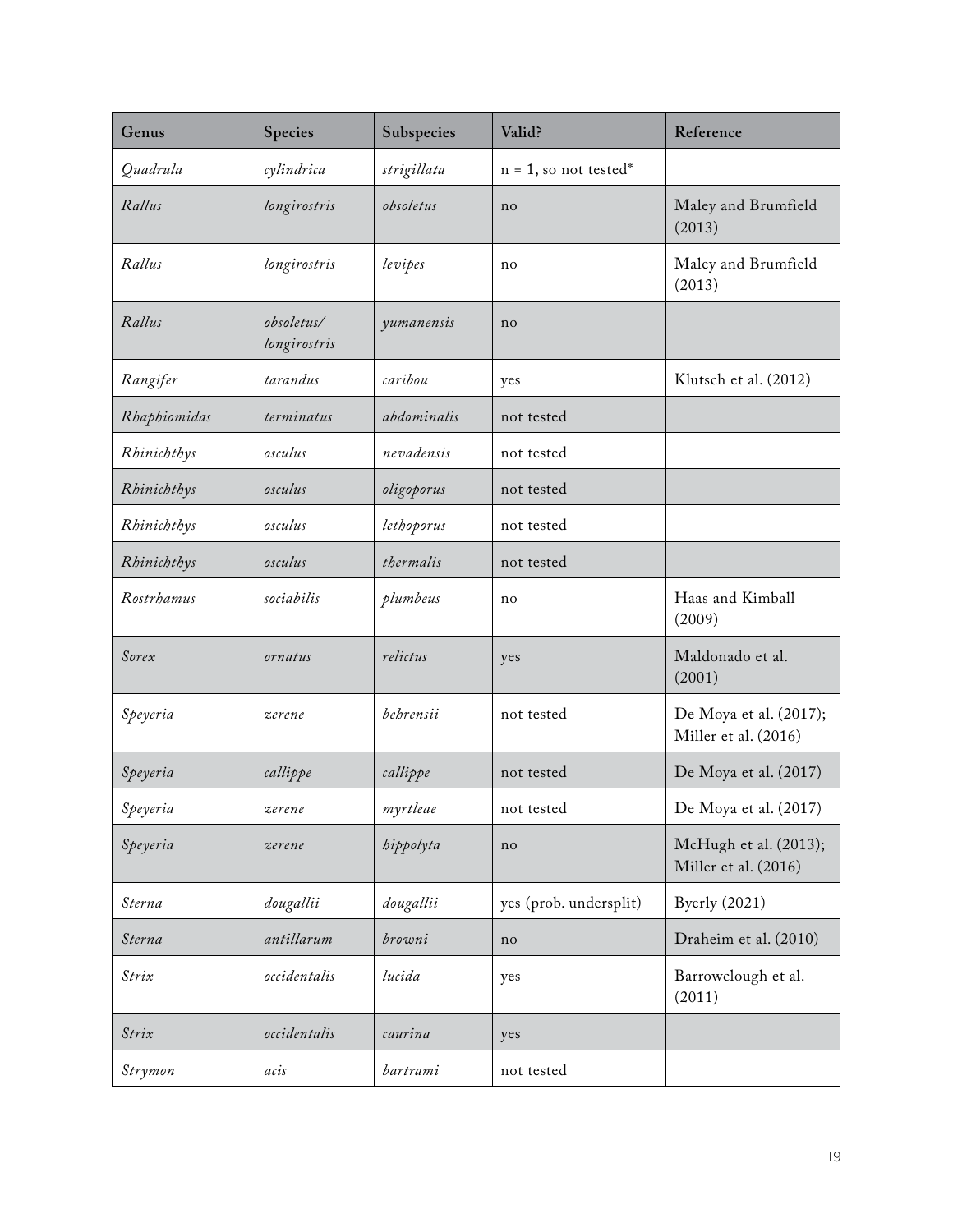| Genus        | Species                    | Subspecies  | Valid?                   | Reference                                      |
|--------------|----------------------------|-------------|--------------------------|------------------------------------------------|
| Quadrula     | cylindrica                 | strigillata | $n = 1$ , so not tested* |                                                |
| Rallus       | longirostris               | obsoletus   | no                       | Maley and Brumfield<br>(2013)                  |
| Rallus       | longirostris               | levipes     | no                       | Maley and Brumfield<br>(2013)                  |
| Rallus       | obsoletus/<br>longirostris | yumanensis  | no                       |                                                |
| Rangifer     | tarandus                   | caribou     | yes                      | Klutsch et al. (2012)                          |
| Rhaphiomidas | terminatus                 | abdominalis | not tested               |                                                |
| Rhinichthys  | osculus                    | nevadensis  | not tested               |                                                |
| Rhinichthys  | osculus                    | oligoporus  | not tested               |                                                |
| Rhinichthys  | osculus                    | lethoporus  | not tested               |                                                |
| Rhinichthys  | osculus                    | thermalis   | not tested               |                                                |
| Rostrhamus   | sociabilis                 | plumbeus    | no                       | Haas and Kimball<br>(2009)                     |
| Sorex        | ornatus                    | relictus    | yes                      | Maldonado et al.<br>(2001)                     |
| Speyeria     | zerene                     | behrensii   | not tested               | De Moya et al. (2017);<br>Miller et al. (2016) |
| Speyeria     | callippe                   | callippe    | not tested               | De Moya et al. (2017)                          |
| Speyeria     | zerene                     | myrtleae    | not tested               | De Moya et al. (2017)                          |
| Speyeria     | zerene                     | hippolyta   | no                       | McHugh et al. (2013);<br>Miller et al. (2016)  |
| Sterna       | dougallii                  | dougallii   | yes (prob. undersplit)   | <b>Byerly</b> (2021)                           |
| Sterna       | antillarum                 | browni      | no                       | Draheim et al. (2010)                          |
| Strix        | occidentalis               | lucida      | yes                      | Barrowclough et al.<br>(2011)                  |
| Strix        | occidentalis               | caurina     | yes                      |                                                |
| Strymon      | acis                       | bartrami    | not tested               |                                                |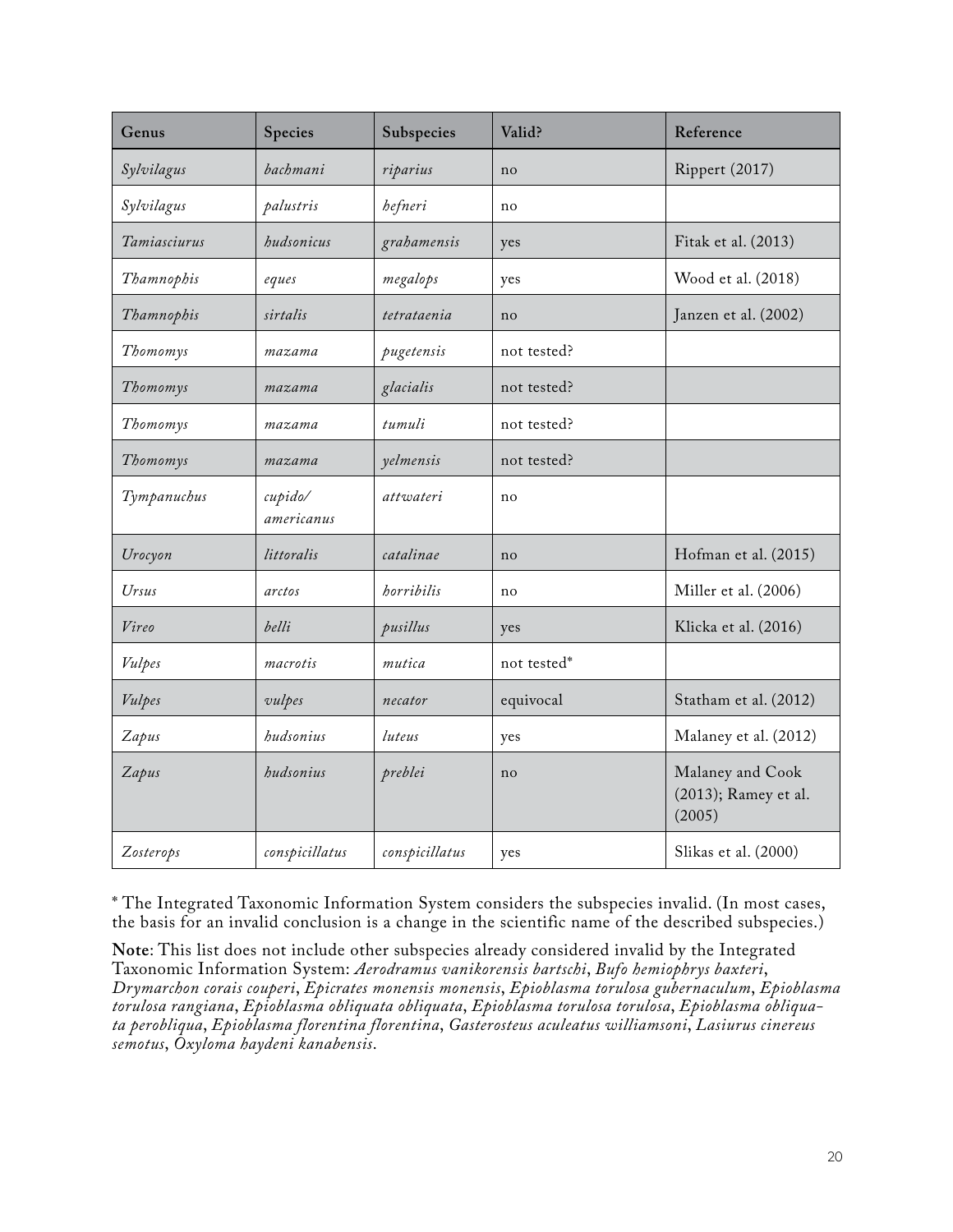| Genus        | Species               | Subspecies     | Valid?      | Reference                                          |
|--------------|-----------------------|----------------|-------------|----------------------------------------------------|
| Sylvilagus   | bachmani              | riparius       | no          | Rippert (2017)                                     |
| Sylvilagus   | palustris             | hefneri        | no          |                                                    |
| Tamiasciurus | hudsonicus            | grahamensis    | yes         | Fitak et al. (2013)                                |
| Thamnophis   | eques                 | megalops       | yes         | Wood et al. (2018)                                 |
| Thamnophis   | sirtalis              | tetrataenia    | no          | Janzen et al. (2002)                               |
| Thomomys     | mazama                | pugetensis     | not tested? |                                                    |
| Thomomys     | mazama                | glacialis      | not tested? |                                                    |
| Thomomys     | mazama                | tumuli         | not tested? |                                                    |
| Thomomys     | mazama                | yelmensis      | not tested? |                                                    |
| Tympanuchus  | cupido/<br>americanus | attwateri      | no          |                                                    |
| Urocyon      | littoralis            | catalinae      | no          | Hofman et al. (2015)                               |
| Ursus        | arctos                | horribilis     | no          | Miller et al. (2006)                               |
| Vireo        | belli                 | pusillus       | yes         | Klicka et al. (2016)                               |
| Vulpes       | macrotis              | mutica         | not tested* |                                                    |
| Vulpes       | vulpes                | necator        | equivocal   | Statham et al. (2012)                              |
| Zapus        | hudsonius             | luteus         | yes         | Malaney et al. (2012)                              |
| Zapus        | hudsonius             | preblei        | no          | Malaney and Cook<br>(2013); Ramey et al.<br>(2005) |
| Zosterops    | conspicillatus        | conspicillatus | yes         | Slikas et al. (2000)                               |

\* The Integrated Taxonomic Information System considers the subspecies invalid. (In most cases, the basis for an invalid conclusion is a change in the scientific name of the described subspecies.)

**Note**: This list does not include other subspecies already considered invalid by the Integrated Taxonomic Information System: *Aerodramus vanikorensis bartschi*, *Bufo hemiophrys baxteri*, *Drymarchon corais couperi*, *Epicrates monensis monensis*, *Epioblasma torulosa gubernaculum*, *Epioblasma torulosa rangiana*, *Epioblasma obliquata obliquata*, *Epioblasma torulosa torulosa*, *Epioblasma obliquata perobliqua*, *Epioblasma florentina florentina*, *Gasterosteus aculeatus williamsoni*, *Lasiurus cinereus semotus*, *Oxyloma haydeni kanabensis*.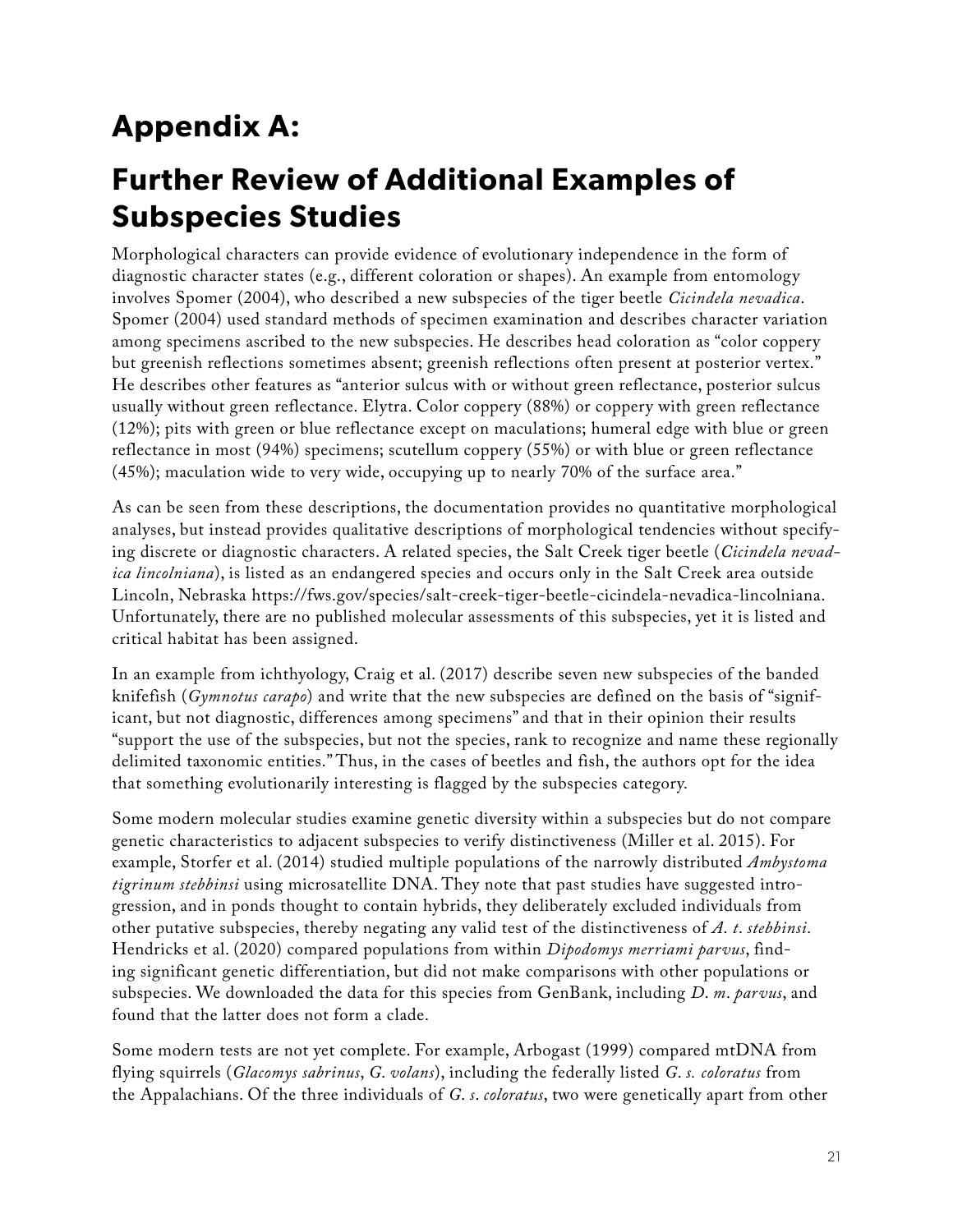# **Appendix A:**

## **Further Review of Additional Examples of Subspecies Studies**

Morphological characters can provide evidence of evolutionary independence in the form of diagnostic character states (e.g., different coloration or shapes). An example from entomology involves Spomer (2004), who described a new subspecies of the tiger beetle *Cicindela nevadica*. Spomer (2004) used standard methods of specimen examination and describes character variation among specimens ascribed to the new subspecies. He describes head coloration as "color coppery but greenish reflections sometimes absent; greenish reflections often present at posterior vertex." He describes other features as "anterior sulcus with or without green reflectance, posterior sulcus usually without green reflectance. Elytra. Color coppery (88%) or coppery with green reflectance (12%); pits with green or blue reflectance except on maculations; humeral edge with blue or green reflectance in most (94%) specimens; scutellum coppery (55%) or with blue or green reflectance (45%); maculation wide to very wide, occupying up to nearly 70% of the surface area."

As can be seen from these descriptions, the documentation provides no quantitative morphological analyses, but instead provides qualitative descriptions of morphological tendencies without specifying discrete or diagnostic characters. A related species, the Salt Creek tiger beetle (*Cicindela nevadica lincolniana*), is listed as an endangered species and occurs only in the Salt Creek area outside Lincoln, Nebraska [https://fws.gov/species/salt-creek-tiger-beetle-cicindela-nevadica-lincolniana.](https://fws.gov/species/salt-creek-tiger-beetle-cicindela-nevadica-lincolniana) Unfortunately, there are no published molecular assessments of this subspecies, yet it is listed and critical habitat has been assigned.

In an example from ichthyology, Craig et al. (2017) describe seven new subspecies of the banded knifefish (*Gymnotus carapo*) and write that the new subspecies are defined on the basis of "significant, but not diagnostic, differences among specimens" and that in their opinion their results "support the use of the subspecies, but not the species, rank to recognize and name these regionally delimited taxonomic entities." Thus, in the cases of beetles and fish, the authors opt for the idea that something evolutionarily interesting is flagged by the subspecies category.

Some modern molecular studies examine genetic diversity within a subspecies but do not compare genetic characteristics to adjacent subspecies to verify distinctiveness (Miller et al. 2015). For example, Storfer et al. (2014) studied multiple populations of the narrowly distributed *Ambystoma tigrinum stebbinsi* using microsatellite DNA. They note that past studies have suggested introgression, and in ponds thought to contain hybrids, they deliberately excluded individuals from other putative subspecies, thereby negating any valid test of the distinctiveness of *A*. *t*. *stebbinsi*. Hendricks et al. (2020) compared populations from within *Dipodomys merriami parvus*, finding significant genetic differentiation, but did not make comparisons with other populations or subspecies. We downloaded the data for this species from GenBank, including *D*. *m*. *parvus*, and found that the latter does not form a clade.

Some modern tests are not yet complete. For example, Arbogast (1999) compared mtDNA from flying squirrels (*Glacomys sabrinus*, *G*. *volans*), including the federally listed *G*. *s. coloratus* from the Appalachians. Of the three individuals of *G*. *s*. *coloratus*, two were genetically apart from other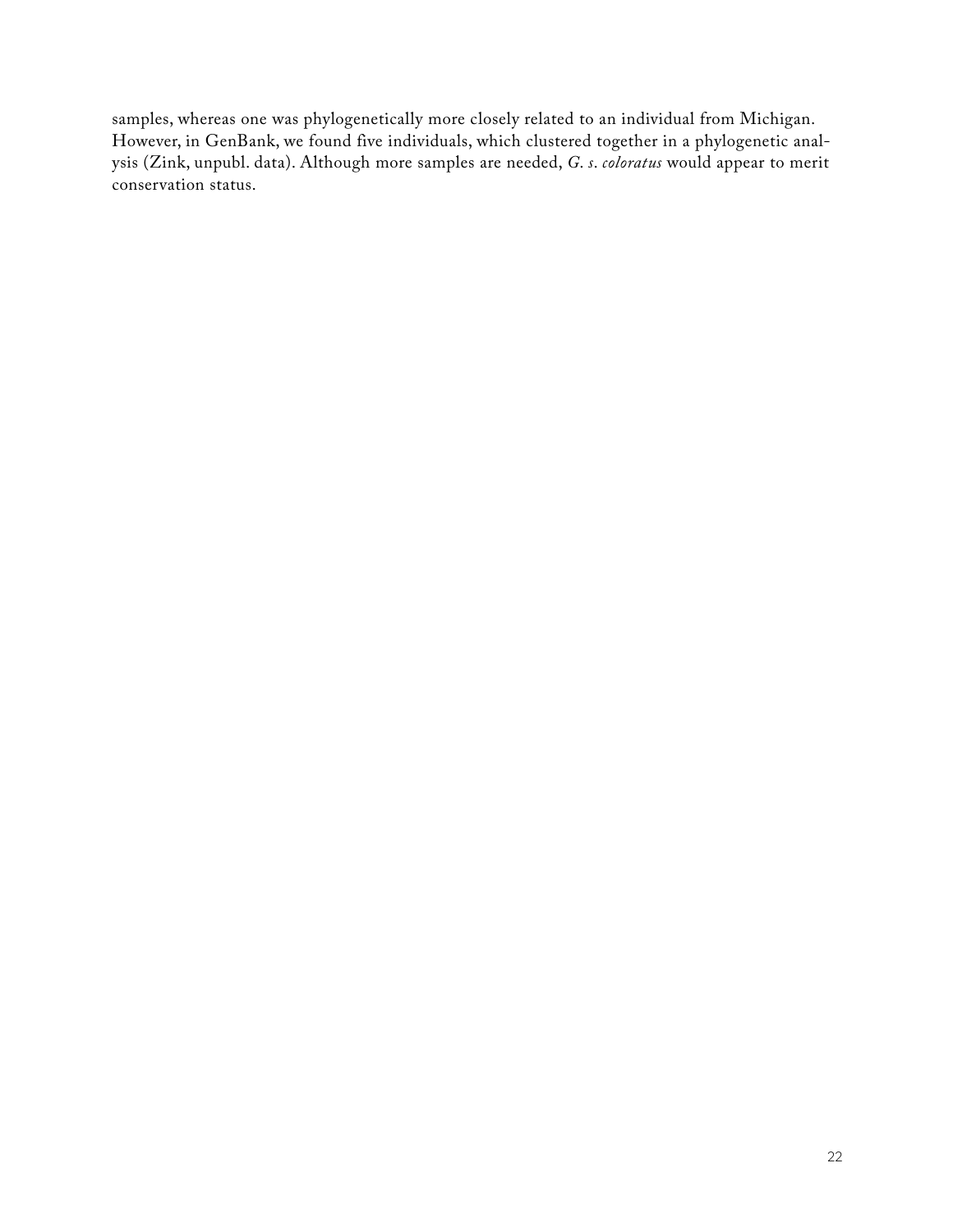samples, whereas one was phylogenetically more closely related to an individual from Michigan. However, in GenBank, we found five individuals, which clustered together in a phylogenetic analysis (Zink, unpubl. data). Although more samples are needed, *G*. *s*. *coloratus* would appear to merit conservation status.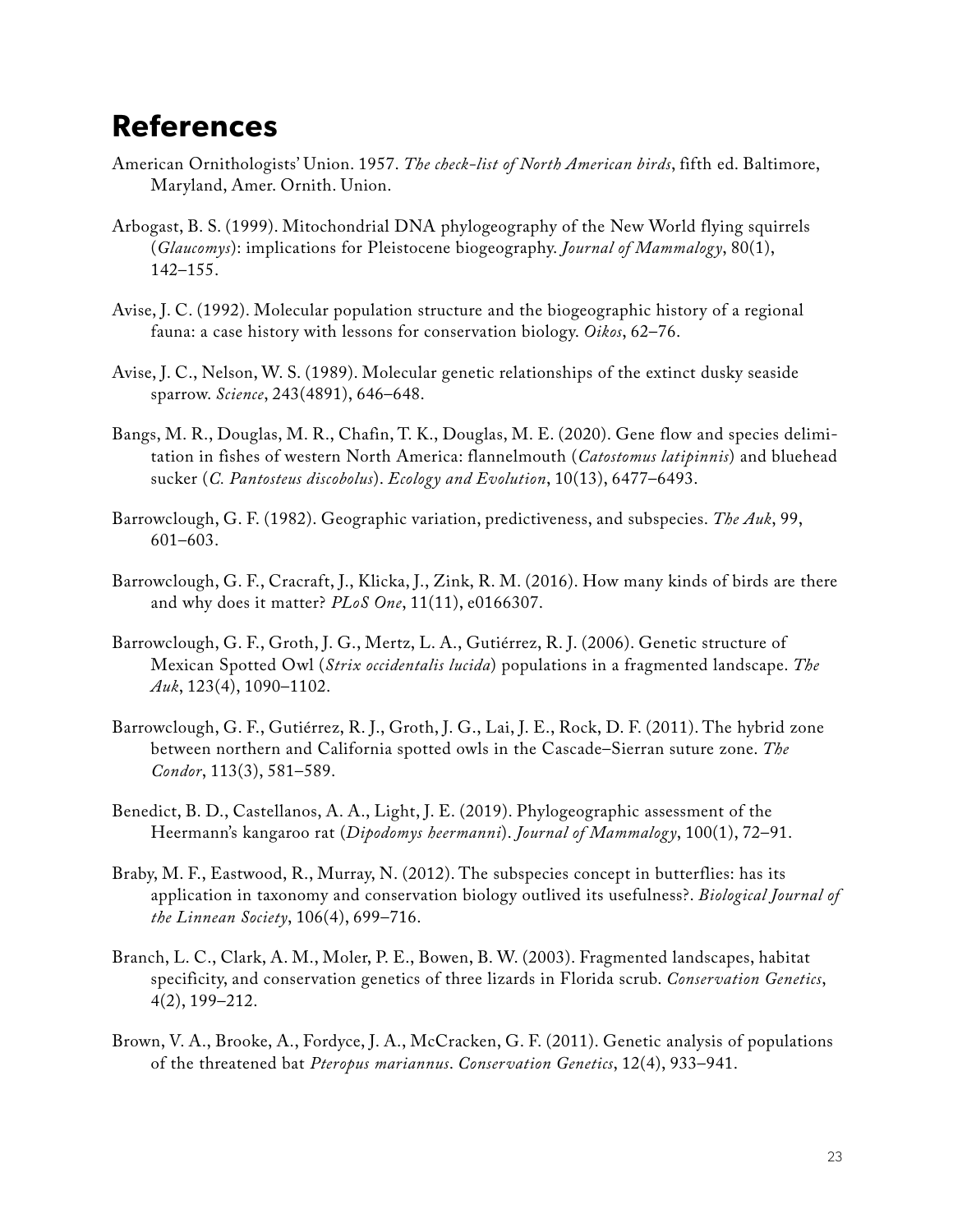### **References**

- American Ornithologists' Union. 1957. *The check-list of North American birds*, fifth ed. Baltimore, Maryland, Amer. Ornith. Union.
- Arbogast, B. S. (1999). Mitochondrial DNA phylogeography of the New World flying squirrels (*Glaucomys*): implications for Pleistocene biogeography. *Journal of Mammalogy*, 80(1), 142–155.
- Avise, J. C. (1992). Molecular population structure and the biogeographic history of a regional fauna: a case history with lessons for conservation biology. *Oikos*, 62–76.
- Avise, J. C., Nelson, W. S. (1989). Molecular genetic relationships of the extinct dusky seaside sparrow. *Science*, 243(4891), 646–648.
- Bangs, M. R., Douglas, M. R., Chafin, T. K., Douglas, M. E. (2020). Gene flow and species delimitation in fishes of western North America: flannelmouth (*Catostomus latipinnis*) and bluehead sucker (*C. Pantosteus discobolus*). *Ecology and Evolution*, 10(13), 6477–6493.
- Barrowclough, G. F. (1982). Geographic variation, predictiveness, and subspecies. *The Auk*, 99, 601–603.
- Barrowclough, G. F., Cracraft, J., Klicka, J., Zink, R. M. (2016). How many kinds of birds are there and why does it matter? *PLoS One*, 11(11), e0166307.
- Barrowclough, G. F., Groth, J. G., Mertz, L. A., Gutiérrez, R. J. (2006). Genetic structure of Mexican Spotted Owl (*Strix occidentalis lucida*) populations in a fragmented landscape. *The Auk*, 123(4), 1090–1102.
- Barrowclough, G. F., Gutiérrez, R. J., Groth, J. G., Lai, J. E., Rock, D. F. (2011). The hybrid zone between northern and California spotted owls in the Cascade–Sierran suture zone. *The Condor*, 113(3), 581–589.
- Benedict, B. D., Castellanos, A. A., Light, J. E. (2019). Phylogeographic assessment of the Heermann's kangaroo rat (*Dipodomys heermanni*). *Journal of Mammalogy*, 100(1), 72–91.
- Braby, M. F., Eastwood, R., Murray, N. (2012). The subspecies concept in butterflies: has its application in taxonomy and conservation biology outlived its usefulness?. *Biological Journal of the Linnean Society*, 106(4), 699–716.
- Branch, L. C., Clark, A. M., Moler, P. E., Bowen, B. W. (2003). Fragmented landscapes, habitat specificity, and conservation genetics of three lizards in Florida scrub. *Conservation Genetics*, 4(2), 199–212.
- Brown, V. A., Brooke, A., Fordyce, J. A., McCracken, G. F. (2011). Genetic analysis of populations of the threatened bat *Pteropus mariannus*. *Conservation Genetics*, 12(4), 933–941.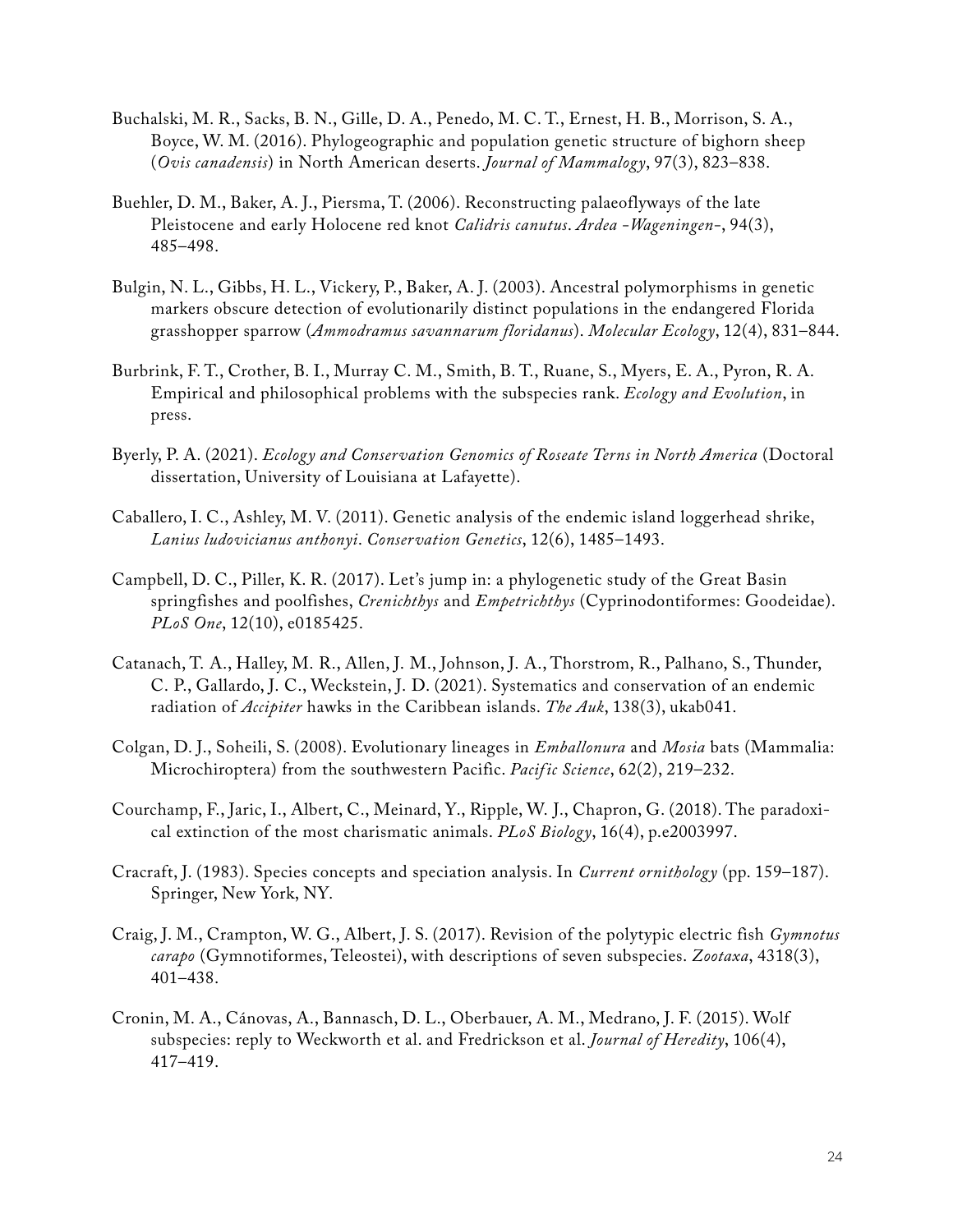- Buchalski, M. R., Sacks, B. N., Gille, D. A., Penedo, M. C. T., Ernest, H. B., Morrison, S. A., Boyce, W. M. (2016). Phylogeographic and population genetic structure of bighorn sheep (*Ovis canadensis*) in North American deserts. *Journal of Mammalogy*, 97(3), 823–838.
- Buehler, D. M., Baker, A. J., Piersma, T. (2006). Reconstructing palaeoflyways of the late Pleistocene and early Holocene red knot *Calidris canutus*. *Ardea -Wageningen-*, 94(3), 485–498.
- Bulgin, N. L., Gibbs, H. L., Vickery, P., Baker, A. J. (2003). Ancestral polymorphisms in genetic markers obscure detection of evolutionarily distinct populations in the endangered Florida grasshopper sparrow (*Ammodramus savannarum floridanus*). *Molecular Ecology*, 12(4), 831–844.
- Burbrink, F. T., Crother, B. I., Murray C. M., Smith, B. T., Ruane, S., Myers, E. A., Pyron, R. A. Empirical and philosophical problems with the subspecies rank. *Ecology and Evolution*, in press.
- Byerly, P. A. (2021). *Ecology and Conservation Genomics of Roseate Terns in North America* (Doctoral dissertation, University of Louisiana at Lafayette).
- Caballero, I. C., Ashley, M. V. (2011). Genetic analysis of the endemic island loggerhead shrike, *Lanius ludovicianus anthonyi*. *Conservation Genetics*, 12(6), 1485–1493.
- Campbell, D. C., Piller, K. R. (2017). Let's jump in: a phylogenetic study of the Great Basin springfishes and poolfishes, *Crenichthys* and *Empetrichthys* (Cyprinodontiformes: Goodeidae). *PLoS One*, 12(10), e0185425.
- Catanach, T. A., Halley, M. R., Allen, J. M., Johnson, J. A., Thorstrom, R., Palhano, S., Thunder, C. P., Gallardo, J. C., Weckstein, J. D. (2021). Systematics and conservation of an endemic radiation of *Accipiter* hawks in the Caribbean islands. *The Auk*, 138(3), ukab041.
- Colgan, D. J., Soheili, S. (2008). Evolutionary lineages in *Emballonura* and *Mosia* bats (Mammalia: Microchiroptera) from the southwestern Pacific. *Pacif ic Science*, 62(2), 219–232.
- Courchamp, F., Jaric, I., Albert, C., Meinard, Y., Ripple, W. J., Chapron, G. (2018). The paradoxical extinction of the most charismatic animals. *PLoS Biology*, 16(4), p.e2003997.
- Cracraft, J. (1983). Species concepts and speciation analysis. In *Current ornithology* (pp. 159–187). Springer, New York, NY.
- Craig, J. M., Crampton, W. G., Albert, J. S. (2017). Revision of the polytypic electric fish *Gymnotus carapo* (Gymnotiformes, Teleostei), with descriptions of seven subspecies. *Zootaxa*, 4318(3), 401–438.
- Cronin, M. A., Cánovas, A., Bannasch, D. L., Oberbauer, A. M., Medrano, J. F. (2015). Wolf subspecies: reply to Weckworth et al. and Fredrickson et al. *Journal of Heredity*, 106(4), 417–419.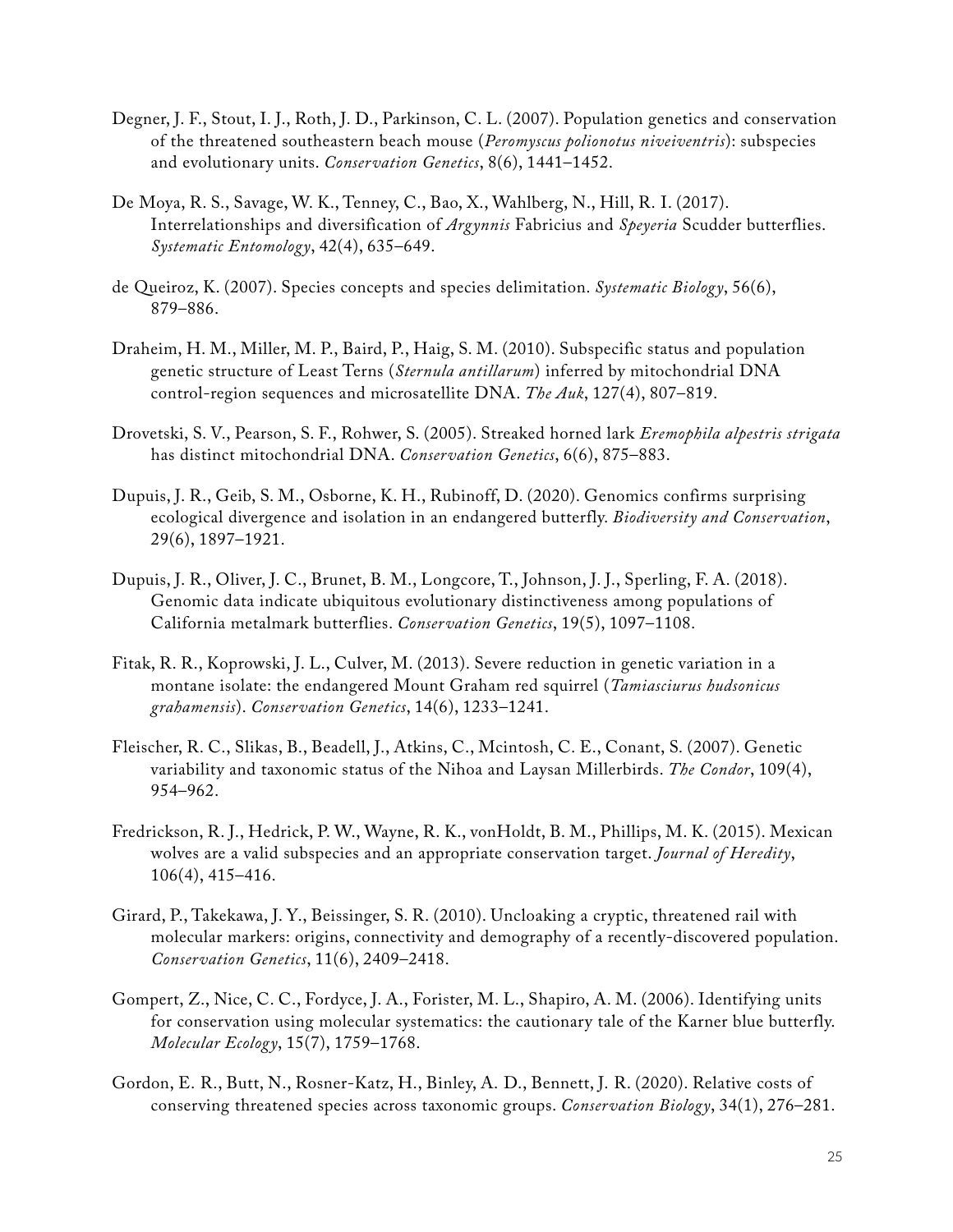- Degner, J. F., Stout, I. J., Roth, J. D., Parkinson, C. L. (2007). Population genetics and conservation of the threatened southeastern beach mouse (*Peromyscus polionotus niveiventris*): subspecies and evolutionary units. *Conservation Genetics*, 8(6), 1441–1452.
- De Moya, R. S., Savage, W. K., Tenney, C., Bao, X., Wahlberg, N., Hill, R. I. (2017). Interrelationships and diversification of *Argynnis* Fabricius and *Speyeria* Scudder butterflies. *Systematic Entomology*, 42(4), 635–649.
- de Queiroz, K. (2007). Species concepts and species delimitation. *Systematic Biology*, 56(6), 879–886.
- Draheim, H. M., Miller, M. P., Baird, P., Haig, S. M. (2010). Subspecific status and population genetic structure of Least Terns (*Sternula antillarum*) inferred by mitochondrial DNA control-region sequences and microsatellite DNA. *The Auk*, 127(4), 807–819.
- Drovetski, S. V., Pearson, S. F., Rohwer, S. (2005). Streaked horned lark *Eremophila alpestris strigata* has distinct mitochondrial DNA. *Conservation Genetics*, 6(6), 875–883.
- Dupuis, J. R., Geib, S. M., Osborne, K. H., Rubinoff, D. (2020). Genomics confirms surprising ecological divergence and isolation in an endangered butterfly. *Biodiversity and Conservation*, 29(6), 1897–1921.
- Dupuis, J. R., Oliver, J. C., Brunet, B. M., Longcore, T., Johnson, J. J., Sperling, F. A. (2018). Genomic data indicate ubiquitous evolutionary distinctiveness among populations of California metalmark butterflies. *Conservation Genetics*, 19(5), 1097–1108.
- Fitak, R. R., Koprowski, J. L., Culver, M. (2013). Severe reduction in genetic variation in a montane isolate: the endangered Mount Graham red squirrel (*Tamiasciurus hudsonicus grahamensis*). *Conservation Genetics*, 14(6), 1233–1241.
- Fleischer, R. C., Slikas, B., Beadell, J., Atkins, C., Mcintosh, C. E., Conant, S. (2007). Genetic variability and taxonomic status of the Nihoa and Laysan Millerbirds. *The Condor*, 109(4), 954–962.
- Fredrickson, R. J., Hedrick, P. W., Wayne, R. K., vonHoldt, B. M., Phillips, M. K. (2015). Mexican wolves are a valid subspecies and an appropriate conservation target. *Journal of Heredity*, 106(4), 415–416.
- Girard, P., Takekawa, J. Y., Beissinger, S. R. (2010). Uncloaking a cryptic, threatened rail with molecular markers: origins, connectivity and demography of a recently-discovered population. *Conservation Genetics*, 11(6), 2409–2418.
- Gompert, Z., Nice, C. C., Fordyce, J. A., Forister, M. L., Shapiro, A. M. (2006). Identifying units for conservation using molecular systematics: the cautionary tale of the Karner blue butterfly. *Molecular Ecology*, 15(7), 1759–1768.
- Gordon, E. R., Butt, N., Rosner‐Katz, H., Binley, A. D., Bennett, J. R. (2020). Relative costs of conserving threatened species across taxonomic groups. *Conservation Biology*, 34(1), 276–281.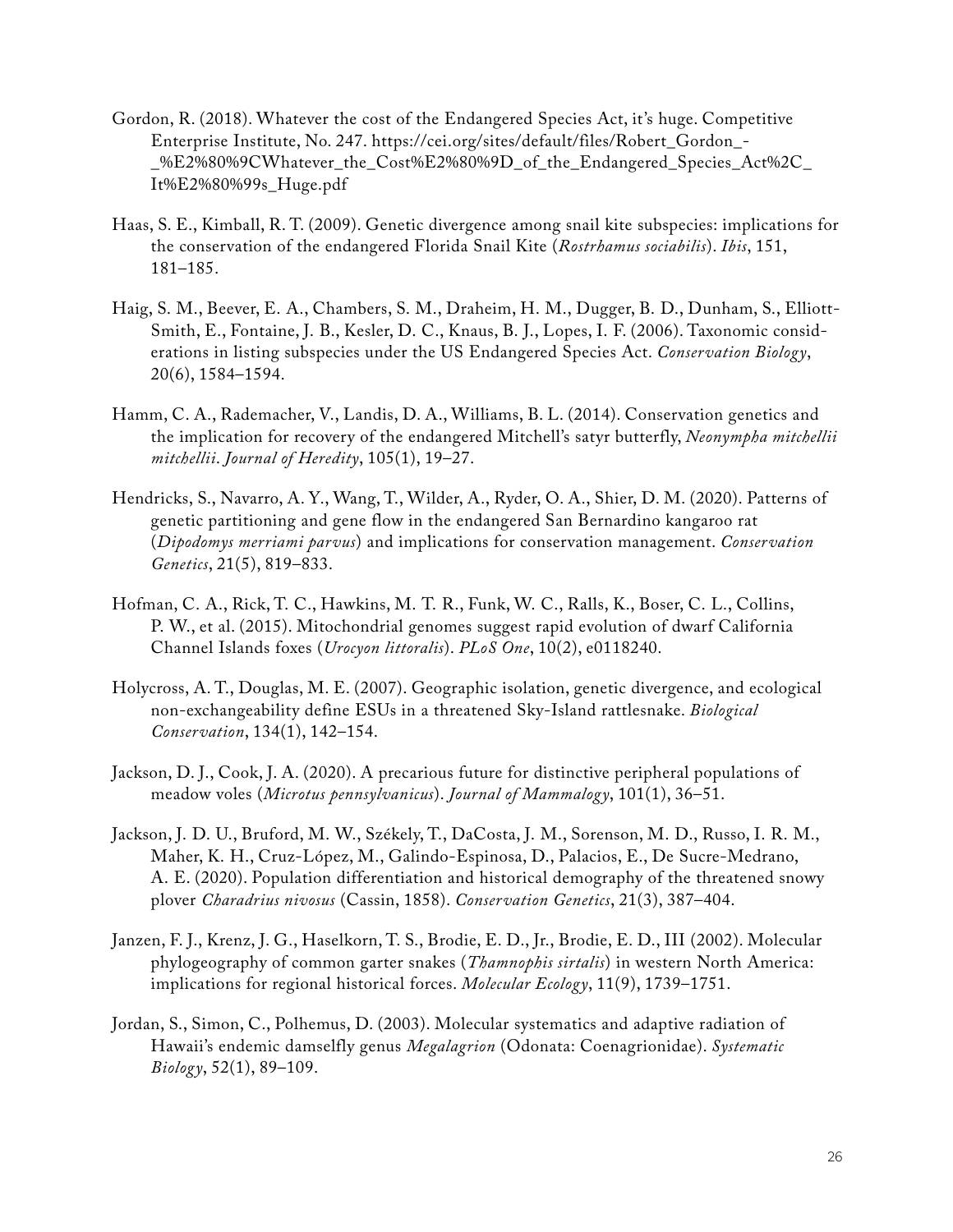- Gordon, R. (2018). Whatever the cost of the Endangered Species Act, it's huge. Competitive Enterprise Institute, No. 247. [https://cei.org/sites/default/files/Robert\\_Gordon\\_-](https://cei.org/sites/default/files/Robert_Gordon_-_%E2%80%9CWhatever_the_Cost%E2%80%9D_of_the_Endan) [\\_%E2%80%9CWhatever\\_the\\_Cost%E2%80%9D\\_of\\_the\\_Endangered\\_Species\\_Act%2C\\_](https://cei.org/sites/default/files/Robert_Gordon_-_%E2%80%9CWhatever_the_Cost%E2%80%9D_of_the_Endan) [It%E2%80%99s\\_Huge.pdf](https://cei.org/sites/default/files/Robert_Gordon_-_%E2%80%9CWhatever_the_Cost%E2%80%9D_of_the_Endan)
- Haas, S. E., Kimball, R. T. (2009). Genetic divergence among snail kite subspecies: implications for the conservation of the endangered Florida Snail Kite (*Rostrhamus sociabilis*). *Ibis*, 151, 181–185.
- Haig, S. M., Beever, E. A., Chambers, S. M., Draheim, H. M., Dugger, B. D., Dunham, S., Elliott‐ Smith, E., Fontaine, J. B., Kesler, D. C., Knaus, B. J., Lopes, I. F. (2006). Taxonomic considerations in listing subspecies under the US Endangered Species Act. *Conservation Biology*, 20(6), 1584–1594.
- Hamm, C. A., Rademacher, V., Landis, D. A., Williams, B. L. (2014). Conservation genetics and the implication for recovery of the endangered Mitchell's satyr butterfly, *Neonympha mitchellii mitchellii*. *Journal of Heredity*, 105(1), 19–27.
- Hendricks, S., Navarro, A. Y., Wang, T., Wilder, A., Ryder, O. A., Shier, D. M. (2020). Patterns of genetic partitioning and gene flow in the endangered San Bernardino kangaroo rat (*Dipodomys merriami parvus*) and implications for conservation management. *Conservation Genetics*, 21(5), 819–833.
- Hofman, C. A., Rick, T. C., Hawkins, M. T. R., Funk, W. C., Ralls, K., Boser, C. L., Collins, P. W., et al. (2015). Mitochondrial genomes suggest rapid evolution of dwarf California Channel Islands foxes (*Urocyon littoralis*). *PLoS One*, 10(2), e0118240.
- Holycross, A. T., Douglas, M. E. (2007). Geographic isolation, genetic divergence, and ecological non-exchangeability define ESUs in a threatened Sky-Island rattlesnake. *Biological Conservation*, 134(1), 142–154.
- Jackson, D. J., Cook, J. A. (2020). A precarious future for distinctive peripheral populations of meadow voles (*Microtus pennsylvanicus*). *Journal of Mammalogy*, 101(1), 36–51.
- Jackson, J. D. U., Bruford, M. W., Székely, T., DaCosta, J. M., Sorenson, M. D., Russo, I. R. M., Maher, K. H., Cruz-López, M., Galindo-Espinosa, D., Palacios, E., De Sucre-Medrano, A. E. (2020). Population differentiation and historical demography of the threatened snowy plover *Charadrius nivosus* (Cassin, 1858). *Conservation Genetics*, 21(3), 387–404.
- Janzen, F. J., Krenz, J. G., Haselkorn, T. S., Brodie, E. D., Jr., Brodie, E. D., III (2002). Molecular phylogeography of common garter snakes (*Thamnophis sirtalis*) in western North America: implications for regional historical forces. *Molecular Ecology*, 11(9), 1739–1751.
- Jordan, S., Simon, C., Polhemus, D. (2003). Molecular systematics and adaptive radiation of Hawaii's endemic damselfly genus *Megalagrion* (Odonata: Coenagrionidae). *Systematic Biology*, 52(1), 89–109.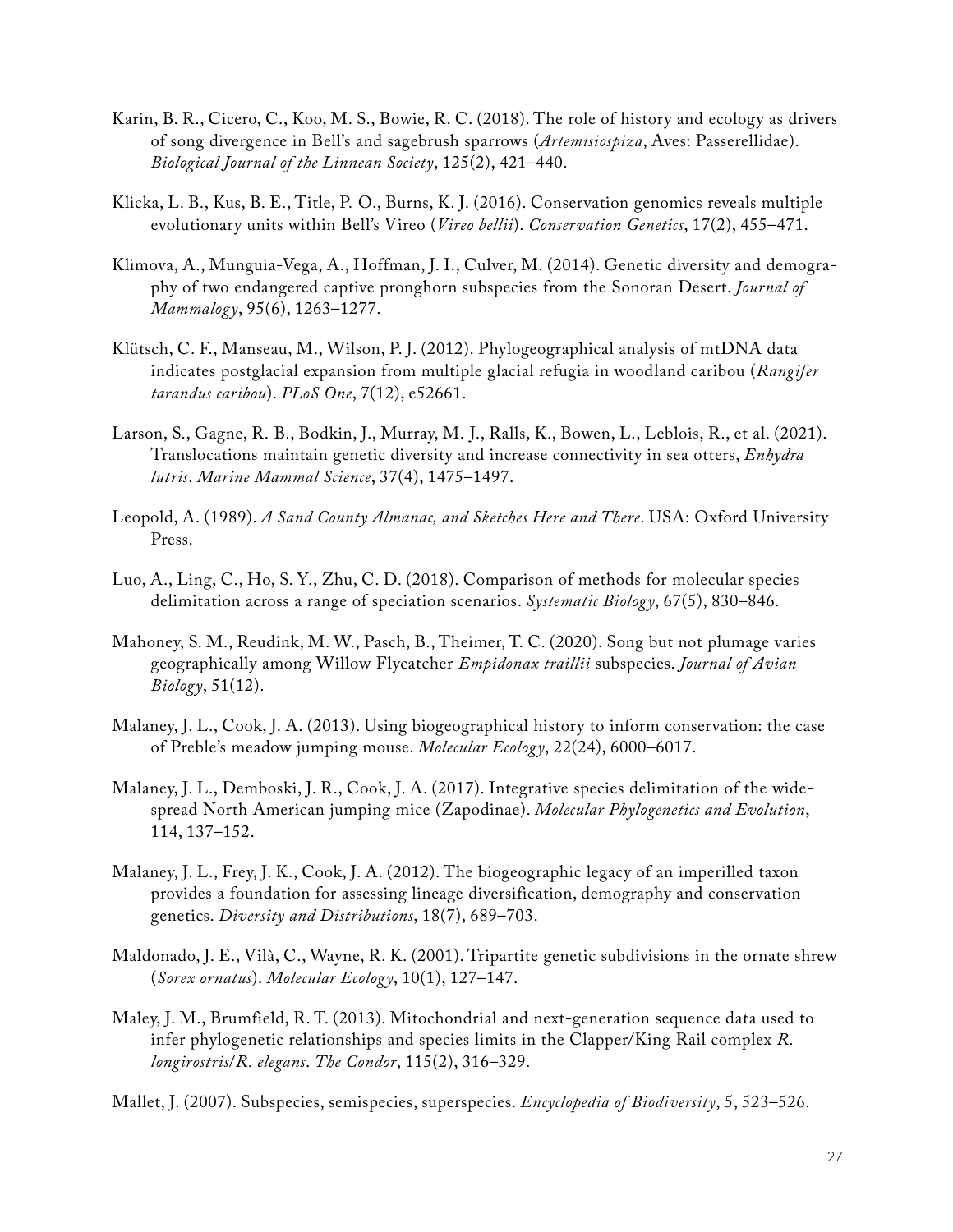- Karin, B. R., Cicero, C., Koo, M. S., Bowie, R. C. (2018). The role of history and ecology as drivers of song divergence in Bell's and sagebrush sparrows (*Artemisiospiza*, Aves: Passerellidae). *Biological Journal of the Linnean Society*, 125(2), 421–440.
- Klicka, L. B., Kus, B. E., Title, P. O., Burns, K. J. (2016). Conservation genomics reveals multiple evolutionary units within Bell's Vireo (*Vireo bellii*). *Conservation Genetics*, 17(2), 455–471.
- Klimova, A., Munguia-Vega, A., Hoffman, J. I., Culver, M. (2014). Genetic diversity and demography of two endangered captive pronghorn subspecies from the Sonoran Desert. *Journal of Mammalogy*, 95(6), 1263–1277.
- Klütsch, C. F., Manseau, M., Wilson, P. J. (2012). Phylogeographical analysis of mtDNA data indicates postglacial expansion from multiple glacial refugia in woodland caribou (*Rangifer tarandus caribou*). *PLoS One*, 7(12), e52661.
- Larson, S., Gagne, R. B., Bodkin, J., Murray, M. J., Ralls, K., Bowen, L., Leblois, R., et al. (2021). Translocations maintain genetic diversity and increase connectivity in sea otters, *Enhydra lutris*. *Marine Mammal Science*, 37(4), 1475–1497.
- Leopold, A. (1989). *A Sand County Almanac, and Sketches Here and There*. USA: Oxford University Press.
- Luo, A., Ling, C., Ho, S. Y., Zhu, C. D. (2018). Comparison of methods for molecular species delimitation across a range of speciation scenarios. *Systematic Biology*, 67(5), 830–846.
- Mahoney, S. M., Reudink, M. W., Pasch, B., Theimer, T. C. (2020). Song but not plumage varies geographically among Willow Flycatcher *Empidonax traillii* subspecies. *Journal of Avian Biology*, 51(12).
- Malaney, J. L., Cook, J. A. (2013). Using biogeographical history to inform conservation: the case of Preble's meadow jumping mouse. *Molecular Ecology*, 22(24), 6000–6017.
- Malaney, J. L., Demboski, J. R., Cook, J. A. (2017). Integrative species delimitation of the widespread North American jumping mice (Zapodinae). *Molecular Phylogenetics and Evolution*, 114, 137–152.
- Malaney, J. L., Frey, J. K., Cook, J. A. (2012). The biogeographic legacy of an imperilled taxon provides a foundation for assessing lineage diversification, demography and conservation genetics. *Diversity and Distributions*, 18(7), 689–703.
- Maldonado, J. E., Vilà, C., Wayne, R. K. (2001). Tripartite genetic subdivisions in the ornate shrew (*Sorex ornatus*). *Molecular Ecology*, 10(1), 127–147.
- Maley, J. M., Brumfield, R. T. (2013). Mitochondrial and next-generation sequence data used to infer phylogenetic relationships and species limits in the Clapper/King Rail complex *R. longirostris*/*R. elegans*. *The Condor*, 115(2), 316–329.

Mallet, J. (2007). Subspecies, semispecies, superspecies. *Encyclopedia of Biodiversity*, 5, 523–526.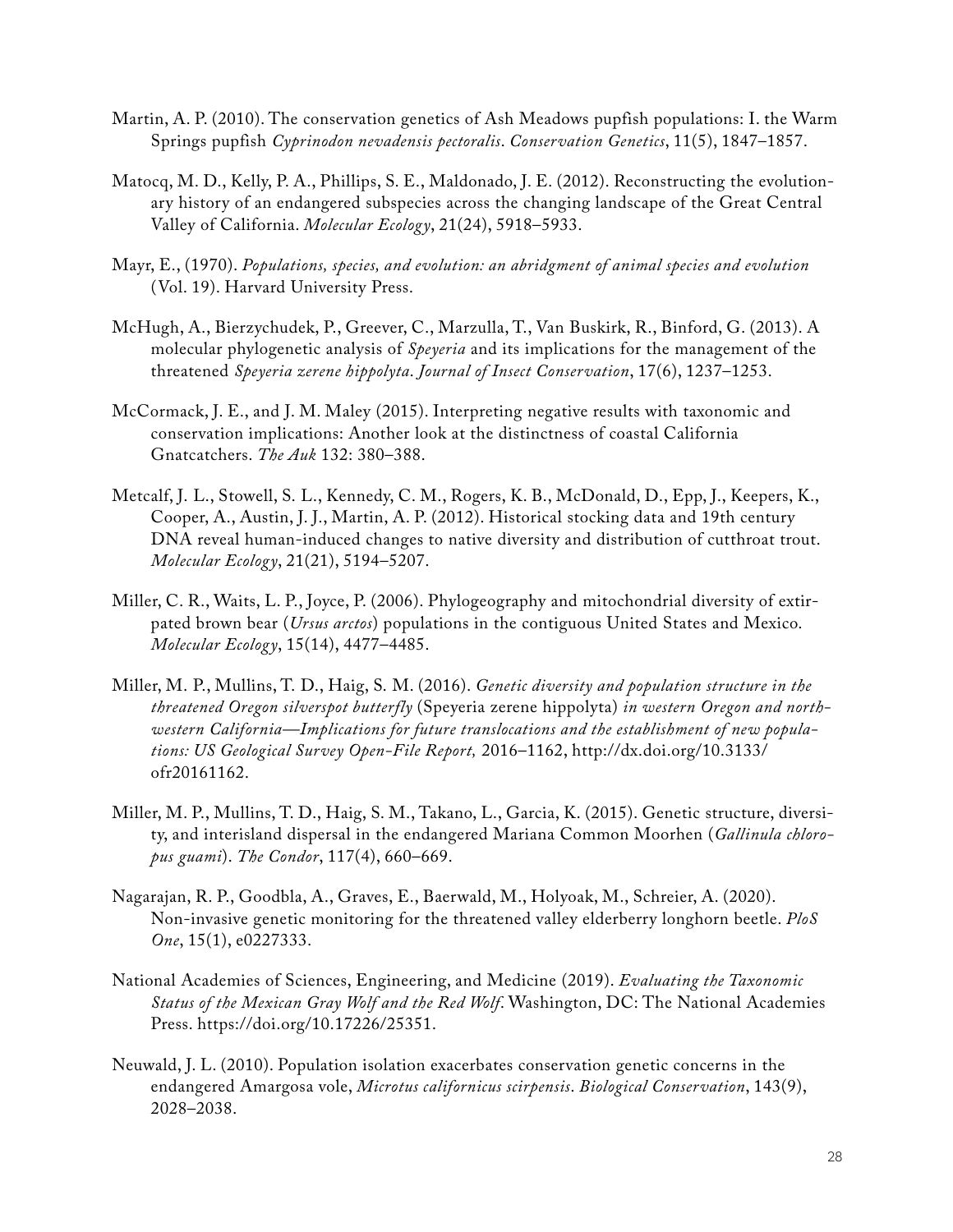- Martin, A. P. (2010). The conservation genetics of Ash Meadows pupfish populations: I. the Warm Springs pupfish *Cyprinodon nevadensis pectoralis*. *Conservation Genetics*, 11(5), 1847–1857.
- Matocq, M. D., Kelly, P. A., Phillips, S. E., Maldonado, J. E. (2012). Reconstructing the evolutionary history of an endangered subspecies across the changing landscape of the Great Central Valley of California. *Molecular Ecology*, 21(24), 5918–5933.
- Mayr, E., (1970). *Populations, species, and evolution: an abridgment of animal species and evolution*  (Vol. 19). Harvard University Press.
- McHugh, A., Bierzychudek, P., Greever, C., Marzulla, T., Van Buskirk, R., Binford, G. (2013). A molecular phylogenetic analysis of *Speyeria* and its implications for the management of the threatened *Speyeria zerene hippolyta*. *Journal of Insect Conservation*, 17(6), 1237–1253.
- McCormack, J. E., and J. M. Maley (2015). Interpreting negative results with taxonomic and conservation implications: Another look at the distinctness of coastal California Gnatcatchers. *The Auk* 132: 380–388.
- Metcalf, J. L., Stowell, S. L., Kennedy, C. M., Rogers, K. B., McDonald, D., Epp, J., Keepers, K., Cooper, A., Austin, J. J., Martin, A. P. (2012). Historical stocking data and 19th century DNA reveal human-induced changes to native diversity and distribution of cutthroat trout. *Molecular Ecology*, 21(21), 5194–5207.
- Miller, C. R., Waits, L. P., Joyce, P. (2006). Phylogeography and mitochondrial diversity of extirpated brown bear (*Ursus arctos*) populations in the contiguous United States and Mexico. *Molecular Ecology*, 15(14), 4477–4485.
- Miller, M. P., Mullins, T. D., Haig, S. M. (2016). *Genetic diversity and population structure in the threatened Oregon silverspot butterfly* (Speyeria zerene hippolyta) *in western Oregon and northwestern California—Implications for future translocations and the establishment of new populations: US Geological Survey Open-File Report,* 2016–1162, [http://dx.doi.org/10.3133/](http://dx.doi.org/10.3133/ofr20161162) [ofr20161162](http://dx.doi.org/10.3133/ofr20161162).
- Miller, M. P., Mullins, T. D., Haig, S. M., Takano, L., Garcia, K. (2015). Genetic structure, diversity, and interisland dispersal in the endangered Mariana Common Moorhen (*Gallinula chloropus guami*). *The Condor*, 117(4), 660–669.
- Nagarajan, R. P., Goodbla, A., Graves, E., Baerwald, M., Holyoak, M., Schreier, A. (2020). Non-invasive genetic monitoring for the threatened valley elderberry longhorn beetle. *PloS One*, 15(1), e0227333.
- National Academies of Sciences, Engineering, and Medicine (2019). *Evaluating the Taxonomic Status of the Mexican Gray Wolf and the Red Wolf*. Washington, DC: The National Academies Press. [https://doi.org/10.17226/25351.](https://doi.org/10.17226/25351)
- Neuwald, J. L. (2010). Population isolation exacerbates conservation genetic concerns in the endangered Amargosa vole, *Microtus californicus scirpensis*. *Biological Conservation*, 143(9), 2028–2038.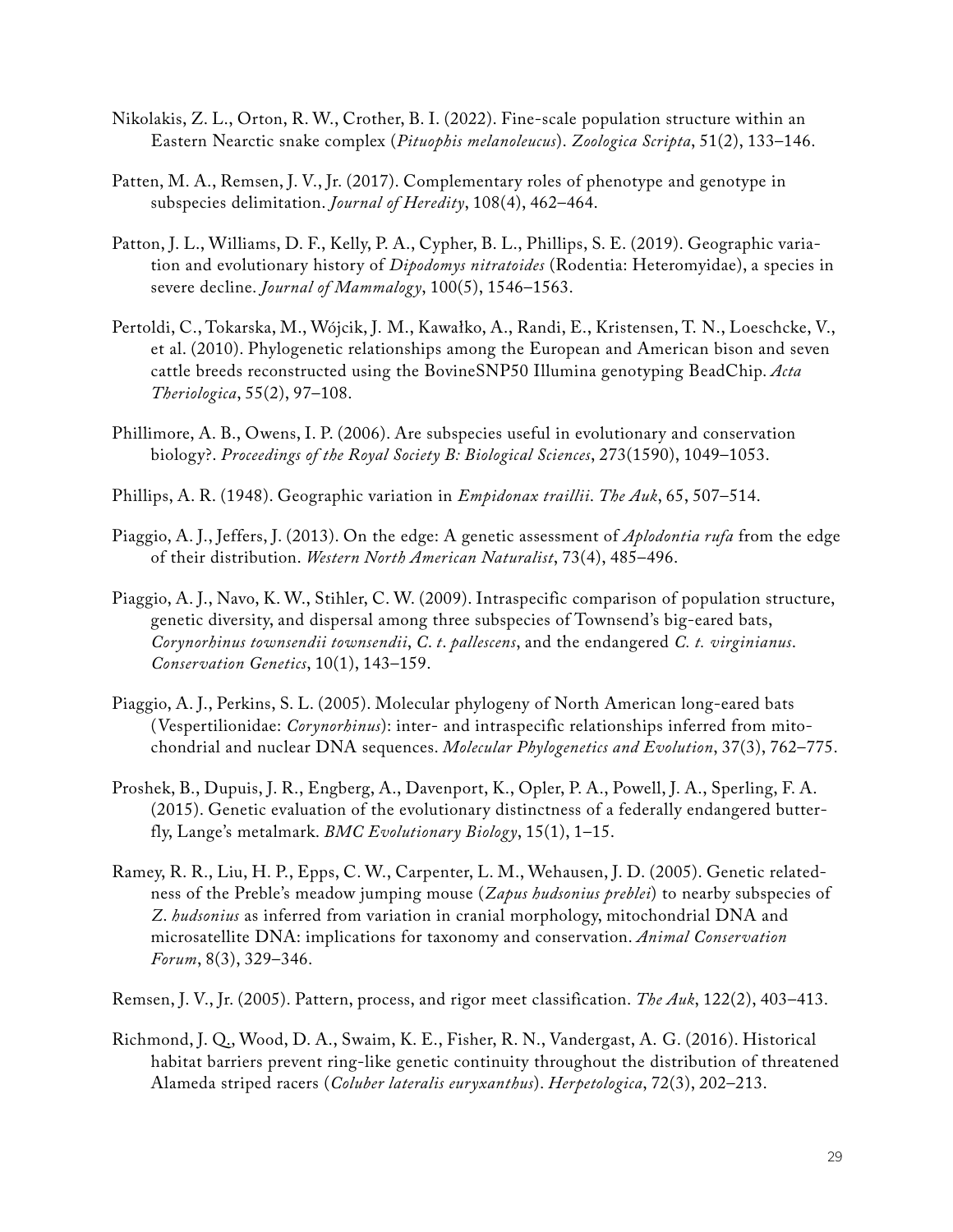- Nikolakis, Z. L., Orton, R. W., Crother, B. I. (2022). Fine‐scale population structure within an Eastern Nearctic snake complex (*Pituophis melanoleucus*). *Zoologica Scripta*, 51(2), 133–146.
- Patten, M. A., Remsen, J. V., Jr. (2017). Complementary roles of phenotype and genotype in subspecies delimitation. *Journal of Heredity*, 108(4), 462–464.
- Patton, J. L., Williams, D. F., Kelly, P. A., Cypher, B. L., Phillips, S. E. (2019). Geographic variation and evolutionary history of *Dipodomys nitratoides* (Rodentia: Heteromyidae), a species in severe decline. *Journal of Mammalogy*, 100(5), 1546–1563.
- Pertoldi, C., Tokarska, M., Wójcik, J. M., Kawałko, A., Randi, E., Kristensen, T. N., Loeschcke, V., et al. (2010). Phylogenetic relationships among the European and American bison and seven cattle breeds reconstructed using the BovineSNP50 Illumina genotyping BeadChip. *Acta Theriologica*, 55(2), 97–108.
- Phillimore, A. B., Owens, I. P. (2006). Are subspecies useful in evolutionary and conservation biology?. *Proceedings of the Royal Society B: Biological Sciences*, 273(1590), 1049–1053.
- Phillips, A. R. (1948). Geographic variation in *Empidonax traillii*. *The Auk*, 65, 507–514.
- Piaggio, A. J., Jeffers, J. (2013). On the edge: A genetic assessment of *Aplodontia rufa* from the edge of their distribution. *Western North American Naturalist*, 73(4), 485–496.
- Piaggio, A. J., Navo, K. W., Stihler, C. W. (2009). Intraspecific comparison of population structure, genetic diversity, and dispersal among three subspecies of Townsend's big-eared bats, *Corynorhinus townsendii townsendii*, *C*. *t*. *pallescens*, and the endangered *C. t. virginianus*. *Conservation Genetics*, 10(1), 143–159.
- Piaggio, A. J., Perkins, S. L. (2005). Molecular phylogeny of North American long-eared bats (Vespertilionidae: *Corynorhinus*): inter- and intraspecific relationships inferred from mitochondrial and nuclear DNA sequences. *Molecular Phylogenetics and Evolution*, 37(3), 762–775.
- Proshek, B., Dupuis, J. R., Engberg, A., Davenport, K., Opler, P. A., Powell, J. A., Sperling, F. A. (2015). Genetic evaluation of the evolutionary distinctness of a federally endangered butterfly, Lange's metalmark. *BMC Evolutionary Biology*, 15(1), 1–15.
- Ramey, R. R., Liu, H. P., Epps, C. W., Carpenter, L. M., Wehausen, J. D. (2005). Genetic relatedness of the Preble's meadow jumping mouse (*Zapus hudsonius preblei*) to nearby subspecies of *Z*. *hudsonius* as inferred from variation in cranial morphology, mitochondrial DNA and microsatellite DNA: implications for taxonomy and conservation. *Animal Conservation Forum*, 8(3), 329–346.
- Remsen, J. V., Jr. (2005). Pattern, process, and rigor meet classification. *The Auk*, 122(2), 403–413.
- Richmond, J. Q., Wood, D. A., Swaim, K. E., Fisher, R. N., Vandergast, A. G. (2016). Historical habitat barriers prevent ring-like genetic continuity throughout the distribution of threatened Alameda striped racers (*Coluber lateralis euryxanthus*). *Herpetologica*, 72(3), 202–213.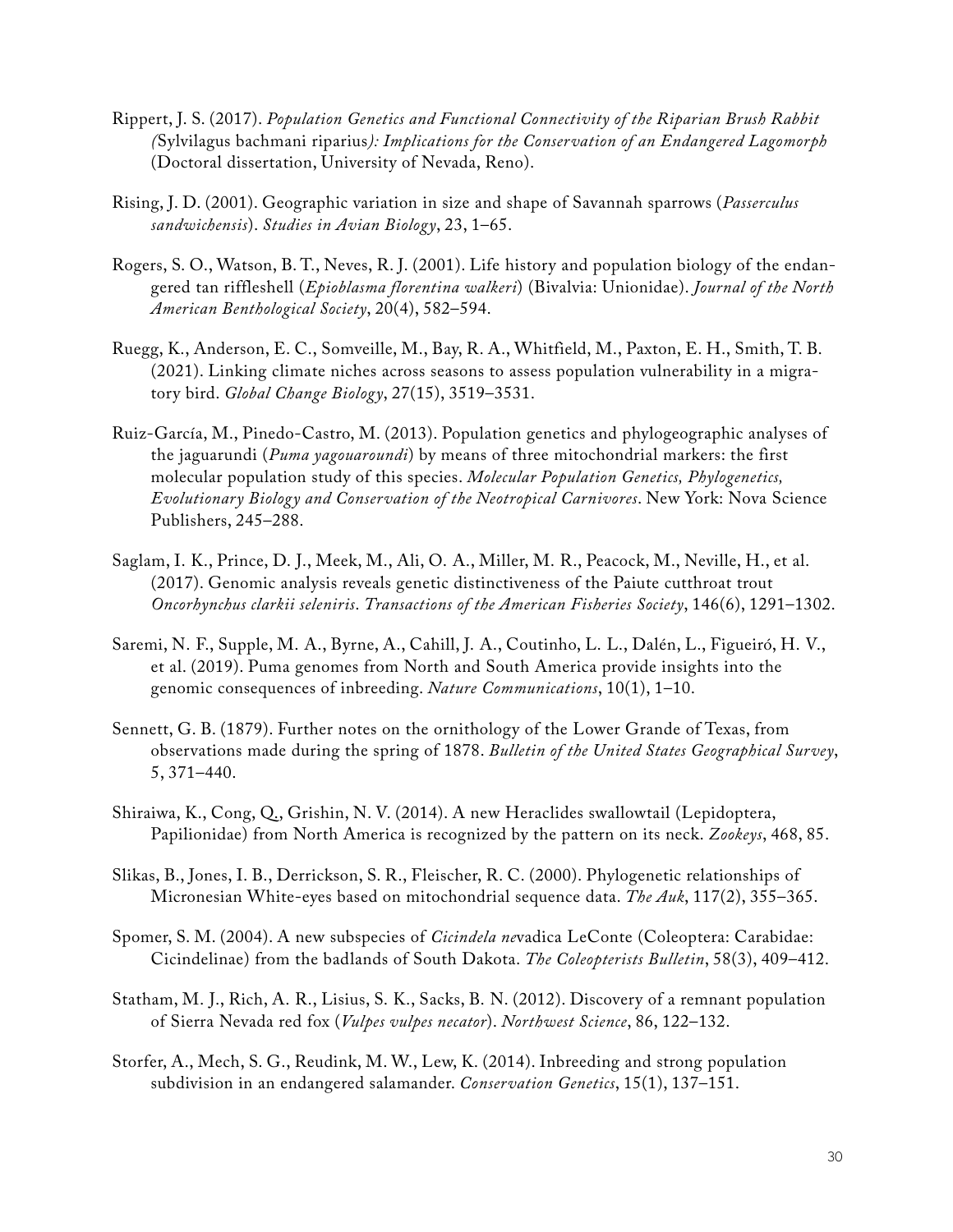- Rippert, J. S. (2017). *Population Genetics and Functional Connectivity of the Riparian Brush Rabbit (*Sylvilagus bachmani riparius*): Implications for the Conservation of an Endangered Lagomorph* (Doctoral dissertation, University of Nevada, Reno).
- Rising, J. D. (2001). Geographic variation in size and shape of Savannah sparrows (*Passerculus sandwichensis*). *Studies in Avian Biology*, 23, 1–65.
- Rogers, S. O., Watson, B. T., Neves, R. J. (2001). Life history and population biology of the endangered tan riffleshell (*Epioblasma florentina walkeri*) (Bivalvia: Unionidae). *Journal of the North American Benthological Society*, 20(4), 582–594.
- Ruegg, K., Anderson, E. C., Somveille, M., Bay, R. A., Whitfield, M., Paxton, E. H., Smith, T. B. (2021). Linking climate niches across seasons to assess population vulnerability in a migratory bird. *Global Change Biology*, 27(15), 3519–3531.
- Ruiz-García, M., Pinedo-Castro, M. (2013). Population genetics and phylogeographic analyses of the jaguarundi (*Puma yagouaroundi*) by means of three mitochondrial markers: the first molecular population study of this species. *Molecular Population Genetics, Phylogenetics, Evolutionary Biology and Conservation of the Neotropical Carnivores*. New York: Nova Science Publishers, 245–288.
- Saglam, I. K., Prince, D. J., Meek, M., Ali, O. A., Miller, M. R., Peacock, M., Neville, H., et al. (2017). Genomic analysis reveals genetic distinctiveness of the Paiute cutthroat trout *Oncorhynchus clarkii seleniris*. *Transactions of the American Fisheries Society*, 146(6), 1291–1302.
- Saremi, N. F., Supple, M. A., Byrne, A., Cahill, J. A., Coutinho, L. L., Dalén, L., Figueiró, H. V., et al. (2019). Puma genomes from North and South America provide insights into the genomic consequences of inbreeding. *Nature Communications*, 10(1), 1–10.
- Sennett, G. B. (1879). Further notes on the ornithology of the Lower Grande of Texas, from observations made during the spring of 1878. *Bulletin of the United States Geographical Survey*, 5, 371–440.
- Shiraiwa, K., Cong, Q., Grishin, N. V. (2014). A new Heraclides swallowtail (Lepidoptera, Papilionidae) from North America is recognized by the pattern on its neck. *Zookeys*, 468, 85.
- Slikas, B., Jones, I. B., Derrickson, S. R., Fleischer, R. C. (2000). Phylogenetic relationships of Micronesian White-eyes based on mitochondrial sequence data. *The Auk*, 117(2), 355–365.
- Spomer, S. M. (2004). A new subspecies of *Cicindela ne*vadica LeConte (Coleoptera: Carabidae: Cicindelinae) from the badlands of South Dakota. *The Coleopterists Bulletin*, 58(3), 409–412.
- Statham, M. J., Rich, A. R., Lisius, S. K., Sacks, B. N. (2012). Discovery of a remnant population of Sierra Nevada red fox (*Vulpes vulpes necator*). *Northwest Science*, 86, 122–132.
- Storfer, A., Mech, S. G., Reudink, M. W., Lew, K. (2014). Inbreeding and strong population subdivision in an endangered salamander. *Conservation Genetics*, 15(1), 137–151.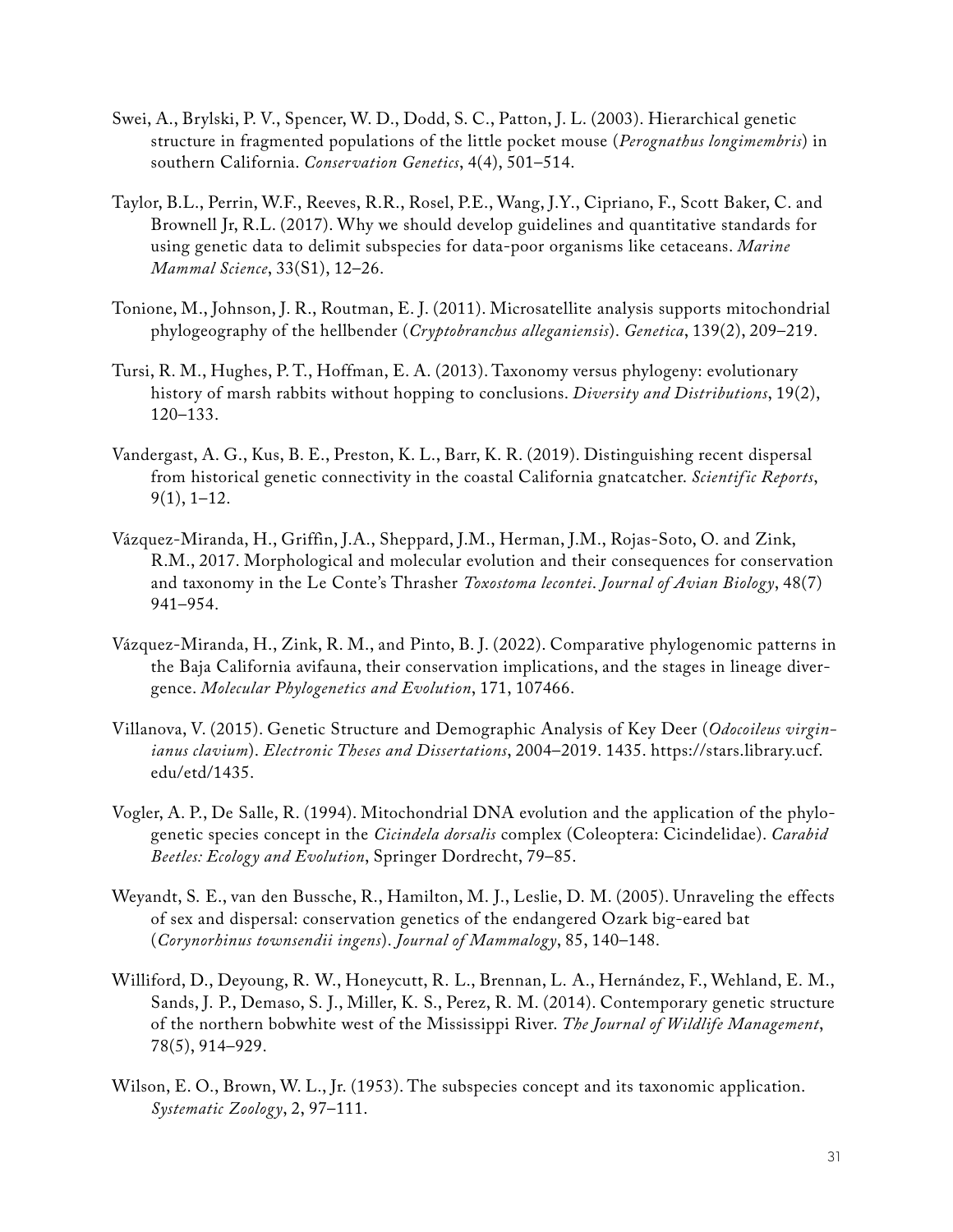- Swei, A., Brylski, P. V., Spencer, W. D., Dodd, S. C., Patton, J. L. (2003). Hierarchical genetic structure in fragmented populations of the little pocket mouse (*Perognathus longimembris*) in southern California. *Conservation Genetics*, 4(4), 501–514.
- Taylor, B.L., Perrin, W.F., Reeves, R.R., Rosel, P.E., Wang, J.Y., Cipriano, F., Scott Baker, C. and Brownell Jr, R.L. (2017). Why we should develop guidelines and quantitative standards for using genetic data to delimit subspecies for data‐poor organisms like cetaceans. *Marine Mammal Science*, 33(S1), 12–26.
- Tonione, M., Johnson, J. R., Routman, E. J. (2011). Microsatellite analysis supports mitochondrial phylogeography of the hellbender (*Cryptobranchus alleganiensis*). *Genetica*, 139(2), 209–219.
- Tursi, R. M., Hughes, P. T., Hoffman, E. A. (2013). Taxonomy versus phylogeny: evolutionary history of marsh rabbits without hopping to conclusions. *Diversity and Distributions*, 19(2), 120–133.
- Vandergast, A. G., Kus, B. E., Preston, K. L., Barr, K. R. (2019). Distinguishing recent dispersal from historical genetic connectivity in the coastal California gnatcatcher. *Scientific Reports*, 9(1), 1–12.
- Vázquez‐Miranda, H., Griffin, J.A., Sheppard, J.M., Herman, J.M., Rojas‐Soto, O. and Zink, R.M., 2017. Morphological and molecular evolution and their consequences for conservation and taxonomy in the Le Conte's Thrasher *Toxostoma lecontei*. *Journal of Avian Biology*, 48(7) 941–954.
- Vázquez-Miranda, H., Zink, R. M., and Pinto, B. J. (2022). Comparative phylogenomic patterns in the Baja California avifauna, their conservation implications, and the stages in lineage divergence. *Molecular Phylogenetics and Evolution*, 171, 107466.
- Villanova, V. (2015). Genetic Structure and Demographic Analysis of Key Deer (*Odocoileus virginianus clavium*). *Electronic Theses and Dissertations*, 2004–2019. 1435. [https://stars.library.ucf.](https://stars.library.ucf.edu/etd/1435) [edu/etd/1435.](https://stars.library.ucf.edu/etd/1435)
- Vogler, A. P., De Salle, R. (1994). Mitochondrial DNA evolution and the application of the phylogenetic species concept in the *Cicindela dorsalis* complex (Coleoptera: Cicindelidae). *Carabid Beetles: Ecology and Evolution*, Springer Dordrecht, 79–85.
- Weyandt, S. E., van den Bussche, R., Hamilton, M. J., Leslie, D. M. (2005). Unraveling the effects of sex and dispersal: conservation genetics of the endangered Ozark big-eared bat (*Corynorhinus townsendii ingens*). *Journal of Mammalogy*, 85, 140–148.
- Williford, D., Deyoung, R. W., Honeycutt, R. L., Brennan, L. A., Hernández, F., Wehland, E. M., Sands, J. P., Demaso, S. J., Miller, K. S., Perez, R. M. (2014). Contemporary genetic structure of the northern bobwhite west of the Mississippi River. *The Journal of Wildlife Management*, 78(5), 914–929.
- Wilson, E. O., Brown, W. L., Jr. (1953). The subspecies concept and its taxonomic application. *Systematic Zoology*, 2, 97–111.